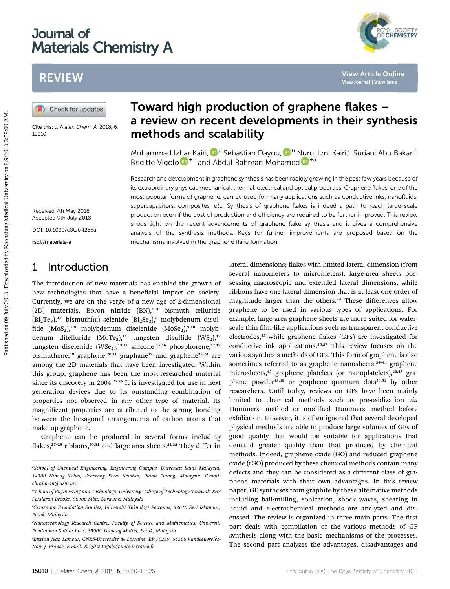# Journal of Materials Chemistry A



# REVIEW

Cite this: J. Mater. Chem. A, 2018, 6, 15010

# Toward high production of graphene flakes – a review on recent developments in their synthesis methods and scalability

Muhammad I[zhar](http://orcid.org/0000-0002-1463-0121) Kairi[,](http://orcid.org/0000-0002-3617-8586) **D**<sup>a</sup> Sebastian Dayou, D<sup>b</sup> [Nur](http://orcid.org/0000-0002-5418-5456)ul Izni Kairi,<sup>c</sup> Suriani Abu Bakar,<sup>d</sup> Brigitte Vigolo  $\mathbb{D}^{*e}$  and Abdul Rahman Mohamed  $\mathbb{D}^{*a}$ 

Research and development in graphene synthesis has been rapidly growing in the past few years because of its extraordinary physical, mechanical, thermal, electrical and optical properties. Graphene flakes, one of the most popular forms of graphene, can be used for many applications such as conductive inks, nanofluids, supercapacitors, composites, etc. Synthesis of graphene flakes is indeed a path to reach large-scale production even if the cost of production and efficiency are required to be further improved. This review sheds light on the recent advancements of graphene flake synthesis and it gives a comprehensive analysis of the synthesis methods. Keys for further improvements are proposed based on the mechanisms involved in the graphene flake formation. **PUBLIMERTY CONTROVERTY CONTROVERTY CONTROVERTY CONTROVERTY CONTROVERTY CONTROVERTY CONTROVERTY CONTROVERTY CONTROVERTY CONTROVERTY CONTROVERTY CONTROVERTY CONTROVERTY CONTROVERTY CONTROVERTY CONTROVERTY CONTROVERTY CONTRO** 

Received 7th May 2018 Accepted 9th July 2018 DOI: 10.1039/c8ta04255a

rsc.li/materials-a

## 1 Introduction

The introduction of new materials has enabled the growth of new technologies that have a beneficial impact on society. Currently, we are on the verge of a new age of 2-dimensional (2D) materials. Boron nitride  $(BN)$ ,<sup>1-3</sup> bismuth telluride  $(Bi<sub>2</sub>Te<sub>3</sub>)<sup>4,5</sup>$  bismuth( $\text{m}$ ) selenide  $(Bi<sub>2</sub>Se<sub>3</sub>)<sup>6</sup>$  molybdenum disulfide  $(MoS<sub>2</sub>)$ <sup>7,8</sup> molybdenum diselenide  $(MoSe<sub>2</sub>)$ <sup>9,10</sup> molybdenum ditelluride  $(MoTe<sub>2</sub>)$ ,<sup>11</sup> tungsten disulfide  $(WS<sub>2</sub>)$ ,<sup>12</sup> tungsten diselenide  $(WSe<sub>2</sub>)$ ,<sup>13,14</sup> silicone,<sup>15,16</sup> phosphorene,<sup>17,18</sup> bismuthene,<sup>19</sup> graphyne,<sup>20,21</sup> graphane<sup>22</sup> and graphene<sup>23,24</sup> are among the 2D materials that have been investigated. Within this group, graphene has been the most-researched material since its discovery in 2004.<sup>25,26</sup> It is investigated for use in next generation devices due to its outstanding combination of properties not observed in any other type of material. Its magnificent properties are attributed to the strong bonding between the hexagonal arrangements of carbon atoms that make up graphene.

Graphene can be produced in several forms including flakes,<sup>27-29</sup> ribbons,<sup>30,31</sup> and large-area sheets.<sup>32,33</sup> They differ in

lateral dimensions; flakes with limited lateral dimension (from several nanometers to micrometers), large-area sheets possessing macroscopic and extended lateral dimensions, while ribbons have one lateral dimension that is at least one order of magnitude larger than the others.<sup>34</sup> These differences allow graphene to be used in various types of applications. For example, large-area graphene sheets are more suited for waferscale thin film-like applications such as transparent conductive electrodes,<sup>35</sup> while graphene flakes (GFs) are investigated for conductive ink applications.<sup>36,37</sup> This review focuses on the various synthesis methods of GFs. This form of graphene is also sometimes referred to as graphene nanosheets,<sup>38-44</sup> graphene microsheets,<sup>45</sup> graphene platelets (or nanoplatelets),<sup>46,47</sup> graphene powder<sup>48,49</sup> or graphene quantum dots<sup>50,51</sup> by other researchers. Until today, reviews on GFs have been mainly limited to chemical methods such as pre-oxidization via Hummers' method or modified Hummers' method before exfoliation. However, it is often ignored that several developed physical methods are able to produce large volumes of GFs of good quality that would be suitable for applications that demand greater quality than that produced by chemical methods. Indeed, graphene oxide (GO) and reduced graphene oxide (rGO) produced by these chemical methods contain many defects and they can be considered as a different class of graphene materials with their own advantages. In this review paper, GF syntheses from graphite by these alternative methods including ball-milling, sonication, shock waves, shearing in liquid and electrochemical methods are analyzed and discussed. The review is organized in three main parts. The first part deals with compilation of the various methods of GF synthesis along with the basic mechanisms of the processes. The second part analyzes the advantages, disadvantages and

a School of Chemical Engineering, Engineering Campus, Universiti Sains Malaysia, 14300 Nibong Tebal, Seberang Perai Selatan, Pulau Pinang, Malaysia. E-mail: chrahman@usm.my

b School of Engineering and Technology, University College of Technology Sarawak, 868 Persiaran Brooke, 96000 Sibu, Sarawak, Malaysia

c Centre for Foundation Studies, Universiti Teknologi Petronas, 32610 Seri Iskandar, Perak, Malaysia

d Nanotechnology Research Centre, Faculty of Science and Mathematics, Universiti Pendidikan Sultan Idris, 35900 Tanjung Malim, Perak, Malaysia

Institut Jean Lamour, CNRS-Université de Lorraine, BP 70239, 54506 Vandceuvrelés-Nancy, France. E-mail: Brigitte.Vigolo@univ-lorraine.fr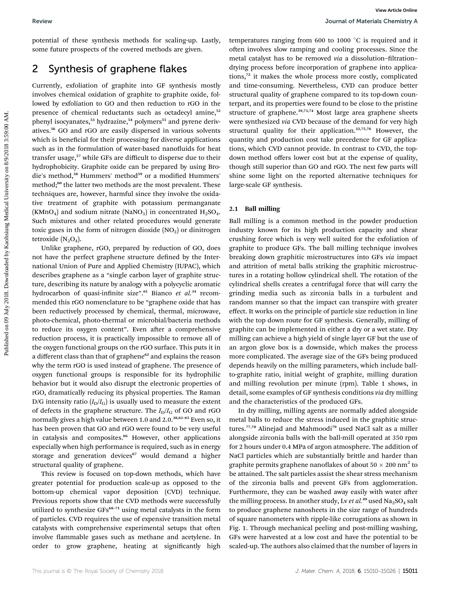potential of these synthesis methods for scaling-up. Lastly, some future prospects of the covered methods are given.

## 2 Synthesis of graphene flakes

Currently, exfoliation of graphite into GF synthesis mostly involves chemical oxidation of graphite to graphite oxide, followed by exfoliation to GO and then reduction to rGO in the presence of chemical reductants such as octadecyl amine,<sup>52</sup> phenyl isocyanates,<sup>53</sup> hydrazine,<sup>54</sup> polymers<sup>55</sup> and pyrene derivatives.<sup>56</sup> GO and rGO are easily dispersed in various solvents which is beneficial for their processing for diverse applications such as in the formulation of water-based nanofluids for heat transfer usage,<sup>57</sup> while GFs are difficult to disperse due to their hydrophobicity. Graphite oxide can be prepared by using Brodie's method,<sup>58</sup> Hummers' method<sup>59</sup> or a modified Hummers' method;<sup>60</sup> the latter two methods are the most prevalent. These techniques are, however, harmful since they involve the oxidative treatment of graphite with potassium permanganate (KMnO<sub>4</sub>) and sodium nitrate (NaNO<sub>3</sub>) in concentrated  $H_2SO_4$ . Such mixtures and other related procedures would generate toxic gases in the form of nitrogen dioxide  $(NO<sub>2</sub>)$  or dinitrogen tetroxide  $(N_2O_4)$ . Power Controller is the symphony. The controller that the controller the symphony of the symphony of the controller that the controller the symphony and the controller that the symphony and the symphony and the symphony an

Unlike graphene, rGO, prepared by reduction of GO, does not have the perfect graphene structure defined by the International Union of Pure and Applied Chemistry (IUPAC), which describes graphene as a "single carbon layer of graphite structure, describing its nature by analogy with a polycyclic aromatic hydrocarbon of quasi-infinite size".<sup>61</sup> Bianco et al.<sup>34</sup> recommended this rGO nomenclature to be "graphene oxide that has been reductively processed by chemical, thermal, microwave, photo-chemical, photo-thermal or microbial/bacteria methods to reduce its oxygen content". Even after a comprehensive reduction process, it is practically impossible to remove all of the oxygen functional groups on the rGO surface. This puts it in a different class than that of graphene<sup>62</sup> and explains the reason why the term rGO is used instead of graphene. The presence of oxygen functional groups is responsible for its hydrophilic behavior but it would also disrupt the electronic properties of rGO, dramatically reducing its physical properties. The Raman D/G intensity ratio  $(I_D/I_G)$  is usually used to measure the extent of defects in the graphene structure. The  $I_D/I_G$  of GO and rGO normally gives a high value between 1.0 and 2.0.<sup>38,63-65</sup> Even so, it has been proven that GO and rGO were found to be very useful in catalysis and composites.<sup>66</sup> However, other applications especially when high performance is required, such as in energy storage and generation devices<sup>67</sup> would demand a higher structural quality of graphene.

This review is focused on top-down methods, which have greater potential for production scale-up as opposed to the bottom-up chemical vapor deposition (CVD) technique. Previous reports show that the CVD methods were successfully utilized to synthesize GFs<sup>68-71</sup> using metal catalysts in the form of particles. CVD requires the use of expensive transition metal catalysts with comprehensive experimental setups that often involve flammable gases such as methane and acetylene. In order to grow graphene, heating at significantly high

temperatures ranging from 600 to 1000  $^{\circ}$ C is required and it often involves slow ramping and cooling processes. Since the metal catalyst has to be removed via a dissolution-filtrationdrying process before incorporation of graphene into applications,<sup>72</sup> it makes the whole process more costly, complicated and time-consuming. Nevertheless, CVD can produce better structural quality of graphene compared to its top-down counterpart, and its properties were found to be close to the pristine structure of graphene.<sup>39,73,74</sup> Most large area graphene sheets were synthesized via CVD because of the demand for very high structural quality for their application.<sup>32,75,76</sup> However, the quantity and production cost take precedence for GF applications, which CVD cannot provide. In contrast to CVD, the topdown method offers lower cost but at the expense of quality, though still superior than GO and rGO. The next few parts will shine some light on the reported alternative techniques for large-scale GF synthesis.

### 2.1 Ball milling

Ball milling is a common method in the powder production industry known for its high production capacity and shear crushing force which is very well suited for the exfoliation of graphite to produce GFs. The ball milling technique involves breaking down graphitic microstructures into GFs via impact and attrition of metal balls striking the graphitic microstructures in a rotating hollow cylindrical shell. The rotation of the cylindrical shells creates a centrifugal force that will carry the grinding media such as zirconia balls in a turbulent and random manner so that the impact can transpire with greater effect. It works on the principle of particle size reduction in line with the top down route for GF synthesis. Generally, milling of graphite can be implemented in either a dry or a wet state. Dry milling can achieve a high yield of single layer GF but the use of an argon glove box is a downside, which makes the process more complicated. The average size of the GFs being produced depends heavily on the milling parameters, which include ballto-graphite ratio, initial weight of graphite, milling duration and milling revolution per minute (rpm). Table 1 shows, in detail, some examples of GF synthesis conditions via dry milling and the characteristics of the produced GFs.

In dry milling, milling agents are normally added alongside metal balls to reduce the stress induced in the graphitic structures.<sup>77,78</sup> Alinejad and Mahmoodi<sup>79</sup> used NaCl salt as a miller alongside zirconia balls with the ball-mill operated at 350 rpm for 2 hours under 0.4 MPa of argon atmosphere. The addition of NaCl particles which are substantially brittle and harder than graphite permits graphene nanoflakes of about  $50 \times 200$  nm<sup>2</sup> to be attained. The salt particles assist the shear stress mechanism of the zirconia balls and prevent GFs from agglomeration. Furthermore, they can be washed away easily with water after the milling process. In another study, Lv et  $al.^{49}$  used Na<sub>2</sub>SO<sub>4</sub> salt to produce graphene nanosheets in the size range of hundreds of square nanometers with ripple-like corrugations as shown in Fig. 1. Through mechanical peeling and post-milling washing, GFs were harvested at a low cost and have the potential to be scaled-up. The authors also claimed that the number of layers in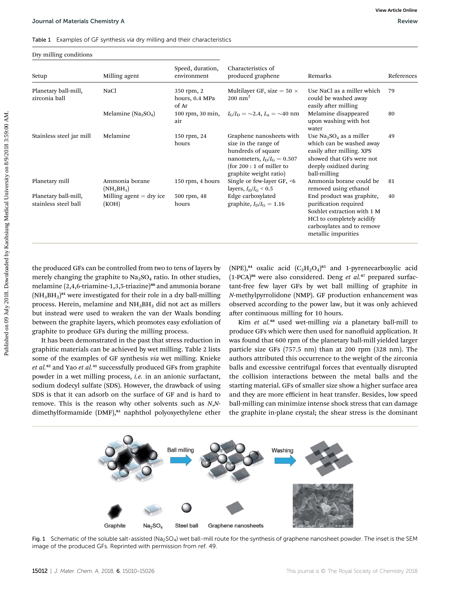### Dry milling conditions

| Dry milling conditions                       |                                    |                                       |                                                                                                                                                                            |                                                                                                                                                                     |            |
|----------------------------------------------|------------------------------------|---------------------------------------|----------------------------------------------------------------------------------------------------------------------------------------------------------------------------|---------------------------------------------------------------------------------------------------------------------------------------------------------------------|------------|
| Setup                                        | Milling agent                      | Speed, duration,<br>environment       | Characteristics of<br>produced graphene                                                                                                                                    | Remarks                                                                                                                                                             | References |
| Planetary ball-mill,<br>zirconia ball        | NaCl                               | 350 rpm, 2<br>hours, 0.4 MPa<br>of Ar | Multilayer GF, size = $50 \times$<br>$200$ nm <sup>2</sup>                                                                                                                 | Use NaCl as a miller which<br>could be washed away<br>easily after milling                                                                                          | 79         |
|                                              | Melamine $(Na_2SO_4)$              | 100 rpm, 30 min,<br>air               | $I_{\rm G}/I_{\rm D} = \sim 2.4, L_{\rm a} = \sim 40$ nm                                                                                                                   | Melamine disappeared<br>upon washing with hot<br>water                                                                                                              | 80         |
| Stainless steel jar mill                     | Melamine                           | 150 rpm, 24<br>hours                  | Graphene nanosheets with<br>size in the range of<br>hundreds of square<br>nanometers, $I_{\rm D}/I_{\rm G} = 0.507$<br>(for $200:1$ of miller to<br>graphite weight ratio) | Use $Na2SO4$ as a miller<br>which can be washed away<br>easily after milling. XPS<br>showed that GFs were not<br>deeply oxidized during<br>ball-milling             | 49         |
| Planetary mill                               | Ammonia borane<br>$(NH_3BH_3)$     | 150 rpm, 4 hours                      | Single or few-layer GF, <6<br>layers, $I_{\rm D}/I_{\rm G}$ < 0.5                                                                                                          | Ammonia borane could be<br>removed using ethanol                                                                                                                    | 81         |
| Planetary ball-mill,<br>stainless steel ball | Milling agent $=$ dry ice<br>(KOH) | 500 rpm, 48<br>hours                  | Edge carboxylated<br>graphite, $I_{\rm D}/I_{\rm G} = 1.16$                                                                                                                | End product was graphite,<br>purification required<br>Soxhlet extraction with 1 M<br>HCl to completely acidify<br>carboxylates and to remove<br>metallic impurities | 40         |

It has been demonstrated in the past that stress reduction in graphitic materials can be achieved by wet milling. Table 2 lists some of the examples of GF synthesis via wet milling. Knieke et al.<sup>82</sup> and Yao et al.<sup>41</sup> successfully produced GFs from graphite powder in a wet milling process, i.e. in an anionic surfactant, sodium dodecyl sulfate (SDS). However, the drawback of using SDS is that it can adsorb on the surface of GF and is hard to remove. This is the reason why other solvents such as N,Ndimethylformamide (DMF),<sup>83</sup> naphthol polyoxyethylene ether

Kim et al.<sup>88</sup> used wet-milling via a planetary ball-mill to produce GFs which were then used for nanofluid application. It was found that 600 rpm of the planetary ball-mill yielded larger particle size GFs (757.5 nm) than at 200 rpm (328 nm). The authors attributed this occurrence to the weight of the zirconia balls and excessive centrifugal forces that eventually disrupted the collision interactions between the metal balls and the starting material. GFs of smaller size show a higher surface area and they are more efficient in heat transfer. Besides, low speed ball-milling can minimize intense shock stress that can damage the graphite in-plane crystal; the shear stress is the dominant

Washing



**Ball milling**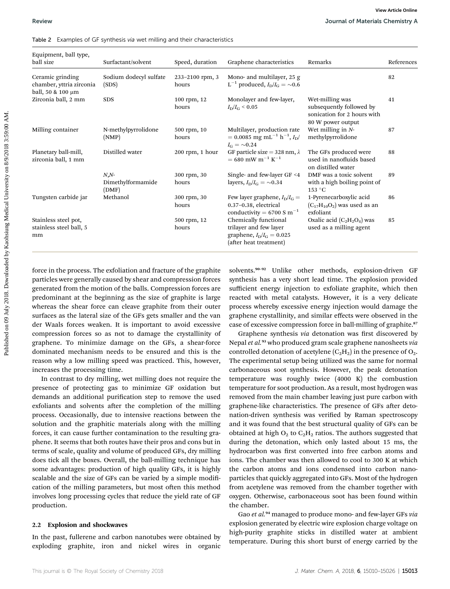| Table 2 Examples of GF synthesis via wet milling and their characteristics |  |
|----------------------------------------------------------------------------|--|
|----------------------------------------------------------------------------|--|

| Equipment, ball type,<br>ball size                                | Surfactant/solvent                     | Speed, duration          | Graphene characteristics                                                                                                     | Remarks                                                                                         | References |
|-------------------------------------------------------------------|----------------------------------------|--------------------------|------------------------------------------------------------------------------------------------------------------------------|-------------------------------------------------------------------------------------------------|------------|
| Ceramic grinding<br>chamber, yttria zirconia<br>ball, 50 & 100 µm | Sodium dodecyl sulfate<br>(SDS)        | 233-2100 rpm, 3<br>hours | Mono- and multilayer, 25 g<br>L <sup>-1</sup> produced, $I_{\rm D}/I_{\rm G} = \sim 0.6$                                     |                                                                                                 | 82         |
| Zirconia ball, 2 mm                                               | <b>SDS</b>                             | 100 rpm, 12<br>hours     | Monolayer and few-layer,<br>$I_{\rm D}/I_{\rm G} \leq 0.05$                                                                  | Wet-milling was<br>subsequently followed by<br>sonication for 2 hours with<br>80 W power output | 41         |
| Milling container                                                 | N-methylpyrrolidone<br>(NMP)           | 500 rpm, 10<br>hours     | Multilayer, production rate<br>$= 0.0085 \text{ mg } \text{mL}^{-1} \text{ h}^{-1}, I_{\text{D}}/$<br>$I_{\rm G}=\sim\!0.24$ | Wet milling in $N$ -<br>methylpyrrolidone                                                       | 87         |
| Planetary ball-mill,<br>zirconia ball, 1 mm                       | Distilled water                        | $200$ rpm, 1 hour        | GF particle size = 328 nm, $\lambda$<br>$= 680$ mW m <sup>-1</sup> K <sup>-1</sup>                                           | The GFs produced were<br>used in nanofluids based<br>on distilled water                         | 88         |
|                                                                   | $N, N$ -<br>Dimethylformamide<br>(DMF) | 300 rpm, 30<br>hours     | Single- and few-layer GF <4<br>layers, $I_{\rm D}/I_{\rm G} = \sim 0.34$                                                     | DMF was a toxic solvent<br>with a high boiling point of<br>153 °C                               | 89         |
| Tungsten carbide jar                                              | Methanol                               | 300 rpm, 30<br>hours     | Few layer graphene, $I_D/I_G =$<br>0.37-0.38, electrical<br>conductivity = $6700 S m^{-1}$                                   | 1-Pyrenecarboxylic acid<br>$(C_{17}H_{10}O_2)$ was used as an<br>exfoliant                      | 86         |
| Stainless steel pot,<br>stainless steel ball, 5<br>mm             |                                        | 500 rpm, 12<br>hours     | Chemically functional<br>trilayer and few layer<br>graphene, $I_{\rm D}/I_{\rm G} = 0.025$<br>(after heat treatment)         | Oxalic acid $(C_2H_2O_4)$ was<br>used as a milling agent                                        | 85         |

force in the process. The exfoliation and fracture of the graphite particles were generally caused by shear and compression forces generated from the motion of the balls. Compression forces are predominant at the beginning as the size of graphite is large whereas the shear force can cleave graphite from their outer surfaces as the lateral size of the GFs gets smaller and the van der Waals forces weaken. It is important to avoid excessive compression forces so as not to damage the crystallinity of graphene. To minimize damage on the GFs, a shear-force dominated mechanism needs to be ensured and this is the reason why a low milling speed was practiced. This, however, increases the processing time.

In contrast to dry milling, wet milling does not require the presence of protecting gas to minimize GF oxidation but demands an additional purification step to remove the used exfoliants and solvents after the completion of the milling process. Occasionally, due to intensive reactions between the solution and the graphitic materials along with the milling forces, it can cause further contamination to the resulting graphene. It seems that both routes have their pros and cons but in terms of scale, quality and volume of produced GFs, dry milling does tick all the boxes. Overall, the ball-milling technique has some advantages: production of high quality GFs, it is highly scalable and the size of GFs can be varied by a simple modification of the milling parameters, but most often this method involves long processing cycles that reduce the yield rate of GF production.

### 2.2 Explosion and shockwaves

In the past, fullerene and carbon nanotubes were obtained by exploding graphite, iron and nickel wires in organic

Graphene synthesis via detonation was first discovered by Nepal et al.<sup>93</sup> who produced gram scale graphene nanosheets via controlled detonation of acetylene  $(C_2H_2)$  in the presence of  $O_2$ . The experimental setup being utilized was the same for normal carbonaceous soot synthesis. However, the peak detonation temperature was roughly twice (4000 K) the combustion temperature for soot production. As a result, most hydrogen was removed from the main chamber leaving just pure carbon with graphene-like characteristics. The presence of GFs after detonation-driven synthesis was verified by Raman spectroscopy and it was found that the best structural quality of GFs can be obtained at high  $O_2$  to  $C_2H_2$  ratios. The authors suggested that during the detonation, which only lasted about 15 ms, the hydrocarbon was first converted into free carbon atoms and ions. The chamber was then allowed to cool to 300 K at which the carbon atoms and ions condensed into carbon nanoparticles that quickly aggregated into GFs. Most of the hydrogen from acetylene was removed from the chamber together with oxygen. Otherwise, carbonaceous soot has been found within the chamber.

Gao et al.<sup>94</sup> managed to produce mono- and few-layer GFs via explosion generated by electric wire explosion charge voltage on high-purity graphite sticks in distilled water at ambient temperature. During this short burst of energy carried by the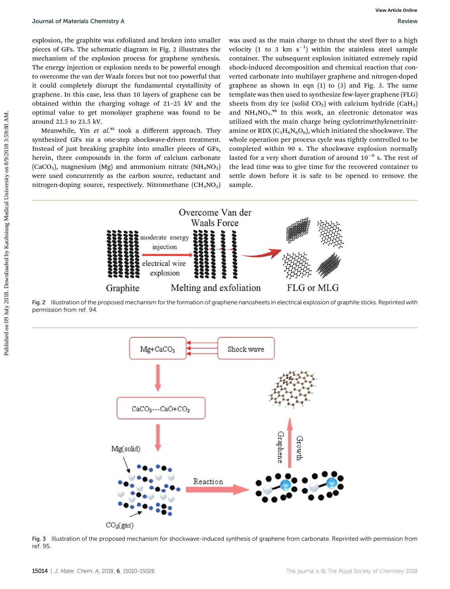explosion, the graphite was exfoliated and broken into smaller pieces of GFs. The schematic diagram in Fig. 2 illustrates the mechanism of the explosion process for graphene synthesis. The energy injection or explosion needs to be powerful enough to overcome the van der Waals forces but not too powerful that it could completely disrupt the fundamental crystallinity of graphene. In this case, less than 10 layers of graphene can be obtained within the charging voltage of 21–25 kV and the optimal value to get monolayer graphene was found to be around 22.5 to 23.5 kV.

Meanwhile, Yin et al.<sup>95</sup> took a different approach. They synthesized GFs via a one-step shockwave-driven treatment. Instead of just breaking graphite into smaller pieces of GFs, herein, three compounds in the form of calcium carbonate  $(CaCO<sub>3</sub>)$ , magnesium  $(Mg)$  and ammonium nitrate  $(NH<sub>4</sub>NO<sub>3</sub>)$ were used concurrently as the carbon source, reductant and nitrogen-doping source, respectively. Nitromethane  $(CH_3NO_2)$  was used as the main charge to thrust the steel flyer to a high velocity (1 to 3 km  $s^{-1}$ ) within the stainless steel sample container. The subsequent explosion initiated extremely rapid shock-induced decomposition and chemical reaction that converted carbonate into multilayer graphene and nitrogen-doped graphene as shown in eqn (1) to (3) and Fig. 3. The same template was then used to synthesize few-layer graphene (FLG) sheets from dry ice (solid  $CO<sub>2</sub>$ ) with calcium hydride (CaH<sub>2</sub>) and  $NH_4NO_3.^{96}$  In this work, an electronic detonator was utilized with the main charge being cyclotrimethylenetrinitramine or RDX  $(C_3H_6N_6O_6)$ , which initiated the shockwave. The whole operation per process cycle was tightly controlled to be completed within 90 s. The shockwave explosion normally lasted for a very short duration of around  $10^{-6}$  s. The rest of the lead time was to give time for the recovered container to settle down before it is safe to be opened to remove the sample.



Fig. 2 Illustration of the proposed mechanism for the formation of graphene nanosheets in electrical explosion of graphite sticks. Reprinted with permission from ref. 94.



Fig. 3 Illustration of the proposed mechanism for shockwave-induced synthesis of graphene from carbonate. Reprinted with permission from ref. 95.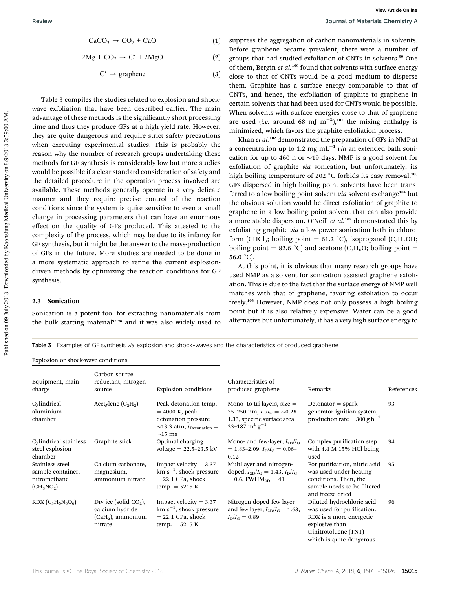$2Mg + CO<sub>2</sub> \rightarrow C^{\dagger} + 2MgO$  (2)

 $C^{\star} \rightarrow$  graphene (3)

Table 3 compiles the studies related to explosion and shockwave exfoliation that have been described earlier. The main advantage of these methods is the significantly short processing time and thus they produce GFs at a high yield rate. However, they are quite dangerous and require strict safety precautions when executing experimental studies. This is probably the reason why the number of research groups undertaking these methods for GF synthesis is considerably low but more studies would be possible if a clear standard consideration of safety and the detailed procedure in the operation process involved are available. These methods generally operate in a very delicate manner and they require precise control of the reaction conditions since the system is quite sensitive to even a small change in processing parameters that can have an enormous effect on the quality of GFs produced. This attested to the complexity of the process, which may be due to its infancy for GF synthesis, but it might be the answer to the mass-production of GFs in the future. More studies are needed to be done in a more systematic approach to refine the current explosiondriven methods by optimizing the reaction conditions for GF synthesis. Positive  $\begin{array}{l} \text{D} \text{curve} \end{array}$ <br>  $\begin{array}{l} \text{D} \text{preve} \text{two 100} \\ \text{D} \text{preve} \text{two 100} \\ \text{D} \text{preve} \text{two 100} \\ \text{D} \text{preve} \text{two 100} \\ \text{D} \text{preve} \text{two 100} \\ \text{D} \text{preve} \text{two 100} \\ \text{D} \text{preve} \text{two 100} \\ \text{D} \text{preve} \text{two 100} \\ \text{D} \text{preve$ 

### 2.3 Sonication

Sonication is a potent tool for extracting nanomaterials from the bulk starting material<sup>97,98</sup> and it was also widely used to

suppress the aggregation of carbon nanomaterials in solvents. Before graphene became prevalent, there were a number of groups that had studied exfoliation of CNTs in solvents.<sup>99</sup> One of them, Bergin et al.<sup>100</sup> found that solvents with surface energy close to that of CNTs would be a good medium to disperse them. Graphite has a surface energy comparable to that of CNTs, and hence, the exfoliation of graphite to graphene in certain solvents that had been used for CNTs would be possible. When solvents with surface energies close to that of graphene are used (*i.e.* around 68 mJ m<sup>-2</sup>),<sup>101</sup> the mixing enthalpy is minimized, which favors the graphite exfoliation process.

Khan et al.<sup>102</sup> demonstrated the preparation of GFs in NMP at a concentration up to 1.2 mg mL<sup>-1</sup> via an extended bath sonication for up to 460 h or  $\sim$  19 days. NMP is a good solvent for exfoliation of graphite via sonication, but unfortunately, its high boiling temperature of 202  $\degree$ C forbids its easy removal.<sup>103</sup> GFs dispersed in high boiling point solvents have been transferred to a low boiling point solvent via solvent exchange<sup>104</sup> but the obvious solution would be direct exfoliation of graphite to graphene in a low boiling point solvent that can also provide a more stable dispersion. O'Neill et  $al.^{105}$  demonstrated this by exfoliating graphite via a low power sonication bath in chloroform (CHCl<sub>3</sub>; boiling point = 61.2 °C), isopropanol (C<sub>3</sub>H<sub>7</sub>OH; boiling point = 82.6 °C) and acetone (C<sub>3</sub>H<sub>6</sub>O; boiling point = 56.0  $^{\circ}$ C).

At this point, it is obvious that many research groups have used NMP as a solvent for sonication assisted graphene exfoliation. This is due to the fact that the surface energy of NMP well matches with that of graphene, favoring exfoliation to occur freely.<sup>103</sup> However, NMP does not only possess a high boiling point but it is also relatively expensive. Water can be a good alternative but unfortunately, it has a very high surface energy to

|  | Table 3 Examples of GF synthesis via explosion and shock-waves and the characteristics of produced graphene |  |  |  |  |  |  |  |  |  |  |  |  |  |
|--|-------------------------------------------------------------------------------------------------------------|--|--|--|--|--|--|--|--|--|--|--|--|--|
|--|-------------------------------------------------------------------------------------------------------------|--|--|--|--|--|--|--|--|--|--|--|--|--|

| Explosion or shock-wave conditions                                   |                                                                              |                                                                                                                                        |                                                                                                                                           |                                                                                                                                                           |            |  |
|----------------------------------------------------------------------|------------------------------------------------------------------------------|----------------------------------------------------------------------------------------------------------------------------------------|-------------------------------------------------------------------------------------------------------------------------------------------|-----------------------------------------------------------------------------------------------------------------------------------------------------------|------------|--|
| Equipment, main<br>charge                                            | Carbon source,<br>reductant, nitrogen<br>source                              | Explosion conditions                                                                                                                   | Characteristics of<br>produced graphene                                                                                                   | Remarks                                                                                                                                                   | References |  |
| Cylindrical<br>aluminium<br>chamber                                  | Acetylene $(C_2H_2)$                                                         | Peak detonation temp.<br>$=$ 4000 K, peak<br>$d$ detonation pressure $=$<br>$\sim$ 13.3 atm, $t_{\text{Detination}} =$<br>$\sim$ 15 ms | Mono- to tri-layers, size $=$<br>35-250 nm, $I_{\rm D}/I_{\rm G} = \sim 0.28$ -<br>1.33, specific surface area $=$<br>23-187 $m^2 g^{-1}$ | $Detonator = spark$<br>generator ignition system,<br>production rate = 300 g $h^{-1}$                                                                     | 93         |  |
| Cylindrical stainless<br>steel explosion<br>chamber                  | Graphite stick                                                               | Optimal charging<br>$voltage = 22.5 - 23.5$ kV                                                                                         | Mono- and few-layer, $I_{2D}/I_G$<br>$= 1.83 - 2.09$ , $I_{\text{D}}/I_{\text{G}} = 0.06 -$<br>0.12                                       | Complex purification step<br>with $4.4 M 15\%$ HCl being<br>used                                                                                          | 94         |  |
| Stainless steel<br>sample container,<br>nitromethane<br>$(CH_3NO_2)$ | Calcium carbonate,<br>magnesium,<br>ammonium nitrate                         | Impact velocity $= 3.37$<br>$km s^{-1}$ , shock pressure<br>$= 22.1$ GPa, shock<br>$temp. = 5215 K$                                    | Multilayer and nitrogen-<br>doped, $I_{2D}/I_G = 1.43$ , $I_D/I_G$<br>$= 0.6$ , FWHM <sub>2D</sub> $= 41$                                 | For purification, nitric acid<br>was used under heating<br>conditions. Then, the<br>sample needs to be filtered<br>and freeze dried                       | 95         |  |
| $RDX (C_3H_6N_6O_6)$                                                 | Dry ice (solid $CO2$ ),<br>calcium hydride<br>$(CaH2)$ , ammonium<br>nitrate | Impact velocity $= 3.37$<br>$km s^{-1}$ , shock pressure<br>$= 22.1$ GPa, shock<br>$temp. = 5215 K$                                    | Nitrogen doped few layer<br>and few layer, $I_{2D}/I_G = 1.63$ ,<br>$I_{\rm D}/I_{\rm G}=0.89$                                            | Diluted hydrochloric acid<br>was used for purification.<br>RDX is a more energetic<br>explosive than<br>trinitrotoluene (TNT)<br>which is quite dangerous | 96         |  |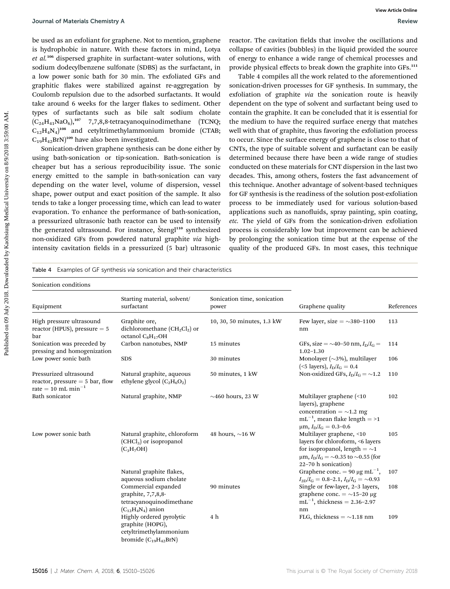be used as an exfoliant for graphene. Not to mention, graphene is hydrophobic in nature. With these factors in mind, Lotya et al.<sup>106</sup> dispersed graphite in surfactant–water solutions, with sodium dodecylbenzene sulfonate (SDBS) as the surfactant, in a low power sonic bath for 30 min. The exfoliated GFs and graphitic flakes were stabilized against re-aggregation by Coulomb repulsion due to the adsorbed surfactants. It would take around 6 weeks for the larger flakes to sediment. Other types of surfactants such as bile salt sodium cholate  $(C_{24}H_{41}NaO_6)$ ,<sup>107</sup> 7,7,8,8-tetracyanoquinodimethane (TCNQ;  $C_{12}H_4N_4$ <sup>108</sup> and cetyltrimethylammonium bromide (CTAB;  $C_{19}H_{42}BrN$ <sup>109</sup> have also been investigated.

Sonication-driven graphene synthesis can be done either by using bath-sonication or tip-sonication. Bath-sonication is cheaper but has a serious reproducibility issue. The sonic energy emitted to the sample in bath-sonication can vary depending on the water level, volume of dispersion, vessel shape, power output and exact position of the sample. It also tends to take a longer processing time, which can lead to water evaporation. To enhance the performance of bath-sonication, a pressurized ultrasonic bath reactor can be used to intensify the generated ultrasound. For instance, Štengl<sup>110</sup> synthesized non-oxidized GFs from powdered natural graphite via highintensity cavitation fields in a pressurized (5 bar) ultrasonic

Table 4 Examples of GF synthesis via sonication and their characteristics

reactor. The cavitation fields that involve the oscillations and collapse of cavities (bubbles) in the liquid provided the source of energy to enhance a wide range of chemical processes and provide physical effects to break down the graphite into GFs.<sup>111</sup>

Table 4 compiles all the work related to the aforementioned sonication-driven processes for GF synthesis. In summary, the exfoliation of graphite via the sonication route is heavily dependent on the type of solvent and surfactant being used to contain the graphite. It can be concluded that it is essential for the medium to have the required surface energy that matches well with that of graphite, thus favoring the exfoliation process to occur. Since the surface energy of graphene is close to that of CNTs, the type of suitable solvent and surfactant can be easily determined because there have been a wide range of studies conducted on these materials for CNT dispersion in the last two decades. This, among others, fosters the fast advancement of this technique. Another advantage of solvent-based techniques for GF synthesis is the readiness of the solution post-exfoliation process to be immediately used for various solution-based applications such as nanofluids, spray painting, spin coating, etc. The yield of GFs from the sonication-driven exfoliation process is considerably low but improvement can be achieved by prolonging the sonication time but at the expense of the quality of the produced GFs. In most cases, this technique From the Metricia Chemicary Asteria Chemicary Asteroid Dealer Control on Dealer Control on Dealer Research in the statistical University of Control on Dealer Control on Dealer Control on Dealer Control on Dealer Control

| Sonication conditions                                                                         |                                                                                                       |                                      |                                                                                                                                                                               |            |
|-----------------------------------------------------------------------------------------------|-------------------------------------------------------------------------------------------------------|--------------------------------------|-------------------------------------------------------------------------------------------------------------------------------------------------------------------------------|------------|
| Equipment                                                                                     | Starting material, solvent/<br>surfactant                                                             | Sonication time, sonication<br>power | Graphene quality                                                                                                                                                              | References |
| High pressure ultrasound<br>reactor (HPUS), pressure $= 5$<br>bar                             | Graphite ore,<br>dichloromethane ( $CH_2Cl_2$ ) or<br>octanol $C_8H_{17}OH$                           | 10, 30, 50 minutes, 1.3 kW           | Few layer, size = $\sim$ 380-1100<br>nm                                                                                                                                       | 113        |
| Sonication was preceded by<br>pressing and homogenization                                     | Carbon nanotubes, NMP                                                                                 | 15 minutes                           | GFs, size = $\sim$ 40-50 nm, $I_{\rm D}/I_{\rm G}$ =<br>$1.02 - 1.30$                                                                                                         | 114        |
| Low power sonic bath                                                                          | <b>SDS</b>                                                                                            | 30 minutes                           | Monolayer ( $\sim$ 3%), multilayer<br>(<5 layers), $I_{D}/I_{G} = 0.4$                                                                                                        | 106        |
| Pressurized ultrasound<br>reactor, pressure $=$ 5 bar, flow<br>rate = 10 mL min <sup>-1</sup> | Natural graphite, aqueous<br>ethylene glycol $(C_2H_6O_2)$                                            | 50 minutes, 1 kW                     | Non-oxidized GFs, $I_D/I_G = \sim 1.2$                                                                                                                                        | 110        |
| Bath sonicator                                                                                | Natural graphite, NMP                                                                                 | $\sim$ 460 hours, 23 W               | Multilayer graphene (<10<br>layers), graphene<br>concentration = $\sim$ 1.2 mg<br>$mL^{-1}$ , mean flake length = >1<br>$\mu$ m, $I_D/I_G = 0.3 - 0.6$                        | 102        |
| Low power sonic bath                                                                          | Natural graphite, chloroform<br>$(CHCl3)$ or isopropanol<br>$(C_3H_7OH)$                              | 48 hours, $\sim$ 16 W                | Multilayer graphene, <10<br>layers for chloroform, <6 layers<br>for isopropanol, length $=\sim1$<br>$\mu$ m, $I_D/I_G = \sim 0.35$ to $\sim 0.55$ (for<br>22-70 h sonication) | 105        |
|                                                                                               | Natural graphite flakes,<br>aqueous sodium cholate                                                    |                                      | Graphene conc. = 90 $\mu$ g mL <sup>-1</sup> ,<br>$I_{2D}/I_{G} = 0.8-2.1, I_{D}/I_{G} = \sim 0.93$                                                                           | 107        |
|                                                                                               | Commercial expanded<br>graphite, $7,7,8,8$ -<br>tetracyanoquinodimethane<br>$(C_{12}H_4N_4)$ anion    | 90 minutes                           | Single or few-layer, 2-3 layers,<br>graphene conc. $= \sim 15-20 \mu g$<br>$mL^{-1}$ , thickness = 2.36-2.97<br>nm                                                            | 108        |
|                                                                                               | Highly ordered pyrolytic<br>graphite (HOPG),<br>cetyltrimethylammonium<br>bromide $(C_{19}H_{42}BrN)$ | 4 h                                  | FLG, thickness $=$ ~1.18 nm                                                                                                                                                   | 109        |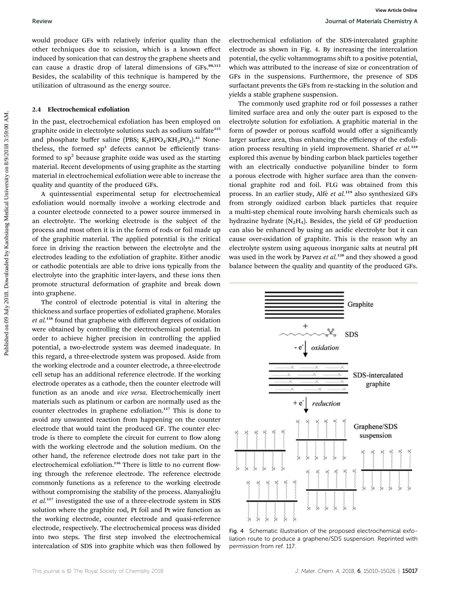would produce GFs with relatively inferior quality than the other techniques due to scission, which is a known effect induced by sonication that can destroy the graphene sheets and can cause a drastic drop of lateral dimensions of GFs.<sup>80,112</sup> Besides, the scalability of this technique is hampered by the utilization of ultrasound as the energy source.

### 2.4 Electrochemical exfoliation

In the past, electrochemical exfoliation has been employed on graphite oxide in electrolyte solutions such as sodium sulfate<sup>115</sup> and phosphate buffer saline (PBS;  $K_2HPO_4/KH_2PO_4$ ).<sup>43</sup> Nonetheless, the formed sp<sup>3</sup> defects cannot be efficiently transformed to  $sp<sup>2</sup>$  because graphite oxide was used as the starting material. Recent developments of using graphite as the starting material in electrochemical exfoliation were able to increase the quality and quantity of the produced GFs.

A quintessential experimental setup for electrochemical exfoliation would normally involve a working electrode and a counter electrode connected to a power source immersed in an electrolyte. The working electrode is the subject of the process and most often it is in the form of rods or foil made up of the graphitic material. The applied potential is the critical force in driving the reaction between the electrolyte and the electrodes leading to the exfoliation of graphite. Either anodic or cathodic potentials are able to drive ions typically from the electrolyte into the graphitic inter-layers, and these ions then promote structural deformation of graphite and break down into graphene.

The control of electrode potential is vital in altering the thickness and surface properties of exfoliated graphene. Morales et al.<sup>116</sup> found that graphene with different degrees of oxidation were obtained by controlling the electrochemical potential. In order to achieve higher precision in controlling the applied potential, a two-electrode system was deemed inadequate. In this regard, a three-electrode system was proposed. Aside from the working electrode and a counter electrode, a three-electrode cell setup has an additional reference electrode. If the working electrode operates as a cathode, then the counter electrode will function as an anode and vice versa. Electrochemically inert materials such as platinum or carbon are normally used as the counter electrodes in graphene exfoliation.<sup>117</sup> This is done to avoid any unwanted reaction from happening on the counter electrode that would taint the produced GF. The counter electrode is there to complete the circuit for current to flow along with the working electrode and the solution medium. On the other hand, the reference electrode does not take part in the electrochemical exfoliation.<sup>116</sup> There is little to no current flowing through the reference electrode. The reference electrode commonly functions as a reference to the working electrode without compromising the stability of the process. Alanyalioğlu et al.<sup>117</sup> investigated the use of a three-electrode system in SDS solution where the graphite rod, Pt foil and Pt wire function as the working electrode, counter electrode and quasi-reference electrode, respectively. The electrochemical process was divided into two steps. The first step involved the electrochemical intercalation of SDS into graphite which was then followed by

electrochemical exfoliation of the SDS-intercalated graphite electrode as shown in Fig. 4. By increasing the intercalation potential, the cyclic voltammograms shift to a positive potential, which was attributed to the increase of size or concentration of GFs in the suspensions. Furthermore, the presence of SDS surfactant prevents the GFs from re-stacking in the solution and yields a stable graphene suspension.

The commonly used graphite rod or foil possesses a rather limited surface area and only the outer part is exposed to the electrolyte solution for exfoliation. A graphitic material in the form of powder or porous scaffold would offer a significantly larger surface area, thus enhancing the efficiency of the exfoliation process resulting in yield improvement. Sharief  $et$   $al.^{118}$ explored this avenue by binding carbon black particles together with an electrically conductive polyaniline binder to form a porous electrode with higher surface area than the conventional graphite rod and foil. FLG was obtained from this process. In an earlier study, Alfè et al.<sup>119</sup> also synthesized GFs from strongly oxidized carbon black particles that require a multi-step chemical route involving harsh chemicals such as hydrazine hydrate ( $N_2H_4$ ). Besides, the yield of GF production can also be enhanced by using an acidic electrolyte but it can cause over-oxidation of graphite. This is the reason why an electrolyte system using aqueous inorganic salts at neutral pH was used in the work by Parvez et al.<sup>120</sup> and they showed a good balance between the quality and quantity of the produced GFs. Review **books** (and the state of the controlling that the electrodecimeal of the sub-interval on the state of the state of the state of the state of the state of the state of the state of the state of the state of the sta



Fig. 4 Schematic illustration of the proposed electrochemical exfoliation route to produce a graphene/SDS suspension. Reprinted with permission from ref. 117.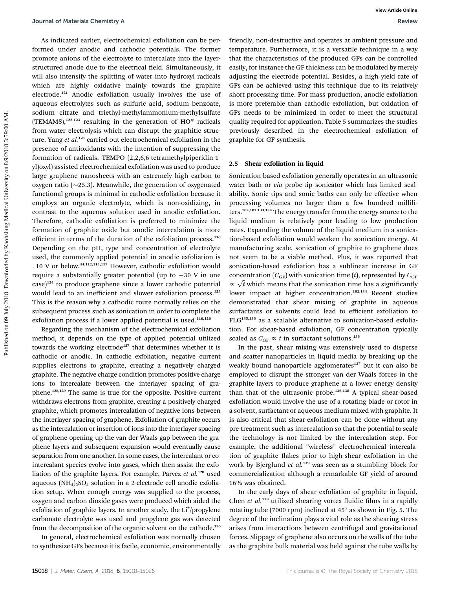As indicated earlier, electrochemical exfoliation can be performed under anodic and cathodic potentials. The former promote anions of the electrolyte to intercalate into the layerstructured anode due to the electrical field. Simultaneously, it will also intensify the splitting of water into hydroxyl radicals which are highly oxidative mainly towards the graphite electrode.<sup>121</sup> Anodic exfoliation usually involves the use of aqueous electrolytes such as sulfuric acid, sodium benzoate, sodium citrate and triethyl-methylammonium-methylsulfate  $(TEMAMS),<sup>122,123</sup>$  resulting in the generation of HO\* radicals from water electrolysis which can disrupt the graphitic structure. Yang et al.<sup>121</sup> carried out electrochemical exfoliation in the presence of antioxidants with the intention of suppressing the formation of radicals. TEMPO (2,2,6,6-tetramethylpiperidin-1 yl)oxyl) assisted electrochemical exfoliation was used to produce large graphene nanosheets with an extremely high carbon to oxygen ratio  $(\sim 25.3)$ . Meanwhile, the generation of oxygenated functional groups is minimal in cathodic exfoliation because it employs an organic electrolyte, which is non-oxidizing, in contrast to the aqueous solution used in anodic exfoliation. Therefore, cathodic exfoliation is preferred to minimize the formation of graphite oxide but anodic intercalation is more efficient in terms of the duration of the exfoliation process.<sup>116</sup> Depending on the pH, type and concentration of electrolyte used, the commonly applied potential in anodic exfoliation is +10 V or below.44,112,114,117 However, cathodic exfoliation would require a substantially greater potential (up to  $-30$  V in one case)<sup>124</sup> to produce graphene since a lower cathodic potential would lead to an inefficient and slower exfoliation process.<sup>125</sup> This is the reason why a cathodic route normally relies on the subsequent process such as sonication in order to complete the exfoliation process if a lower applied potential is used.<sup>116,126</sup> Fournal of Meterials Chemisty A<br>
Now include the content of the content of the content of the content of the content of the content of the content of the content of the content of the content of the content of the content

Regarding the mechanism of the electrochemical exfoliation method, it depends on the type of applied potential utilized towards the working electrode<sup>127</sup> that determines whether it is cathodic or anodic. In cathodic exfoliation, negative current supplies electrons to graphite, creating a negatively charged graphite. The negative charge condition promotes positive charge ions to intercalate between the interlayer spacing of graphene.128,129 The same is true for the opposite. Positive current withdraws electrons from graphite, creating a positively charged graphite, which promotes intercalation of negative ions between the interlayer spacing of graphene. Exfoliation of graphite occurs as the intercalation or insertion of ions into the interlayer spacing of graphene opening up the van der Waals gap between the graphene layers and subsequent expansion would eventually cause separation from one another. In some cases, the intercalant or cointercalant species evolve into gases, which then assist the exfoliation of the graphite layers. For example, Parvez et al.<sup>120</sup> used aqueous  $(NH_4)_2SO_4$  solution in a 2-electrode cell anodic exfoliation setup. When enough energy was supplied to the process, oxygen and carbon dioxide gases were produced which aided the exfoliation of graphite layers. In another study, the Li<sup>+</sup>/propylene carbonate electrolyte was used and propylene gas was detected from the decomposition of the organic solvent on the cathode.<sup>126</sup>

In general, electrochemical exfoliation was normally chosen to synthesize GFs because it is facile, economic, environmentally

friendly, non-destructive and operates at ambient pressure and temperature. Furthermore, it is a versatile technique in a way that the characteristics of the produced GFs can be controlled easily, for instance the GF thickness can be modulated by merely adjusting the electrode potential. Besides, a high yield rate of GFs can be achieved using this technique due to its relatively short processing time. For mass production, anodic exfoliation is more preferable than cathodic exfoliation, but oxidation of GFs needs to be minimized in order to meet the structural quality required for application. Table 5 summarizes the studies previously described in the electrochemical exfoliation of graphite for GF synthesis.

### 2.5 Shear exfoliation in liquid

Sonication-based exfoliation generally operates in an ultrasonic water bath or via probe-tip sonicator which has limited scalability. Sonic tips and sonic baths can only be effective when processing volumes no larger than a few hundred milliliters.102,103,133,134 The energy transfer from the energy source to the liquid medium is relatively poor leading to low production rates. Expanding the volume of the liquid medium in a sonication-based exfoliation would weaken the sonication energy. At manufacturing scale, sonication of graphite to graphene does not seem to be a viable method. Plus, it was reported that sonication-based exfoliation has a sublinear increase in GF concentration ( $C_{\text{GF}}$ ) with sonication time (t), represented by  $C_{\text{GF}}$ concentration ( $C_{\text{GF}}$ ) with sonication time (*t*), represented by  $C_{\text{GF}} \propto \sqrt{t}$  which means that the sonication time has a significantly lower impact at higher concentration.<sup>102,134</sup> Recent studies demonstrated that shear mixing of graphite in aqueous surfactants or solvents could lead to efficient exfoliation to FLG135,136 as a scalable alternative to sonication-based exfoliation. For shear-based exfoliation, GF concentration typically scaled as  $C_{\text{GF}} \propto t$  in surfactant solutions.<sup>136</sup>

In the past, shear mixing was extensively used to disperse and scatter nanoparticles in liquid media by breaking up the weakly bound nanoparticle agglomerates<sup>137</sup> but it can also be employed to disrupt the stronger van der Waals forces in the graphite layers to produce graphene at a lower energy density than that of the ultrasonic probe.136,138 A typical shear-based exfoliation would involve the use of a rotating blade or rotor in a solvent, surfactant or aqueous medium mixed with graphite. It is also critical that shear-exfoliation can be done without any pre-treatment such as intercalation so that the potential to scale the technology is not limited by the intercalation step. For example, the additional "wireless" electrochemical intercalation of graphite flakes prior to high-shear exfoliation in the work by Bjerglund et al.<sup>139</sup> was seen as a stumbling block for commercialization although a remarkable GF yield of around 16% was obtained.

In the early days of shear exfoliation of graphite in liquid, Chen et  $al^{138}$  utilized shearing vortex fluidic films in a rapidly rotating tube (7000 rpm) inclined at  $45^{\circ}$  as shown in Fig. 5. The degree of the inclination plays a vital role as the shearing stress arises from interactions between centrifugal and gravitational forces. Slippage of graphene also occurs on the walls of the tube as the graphite bulk material was held against the tube walls by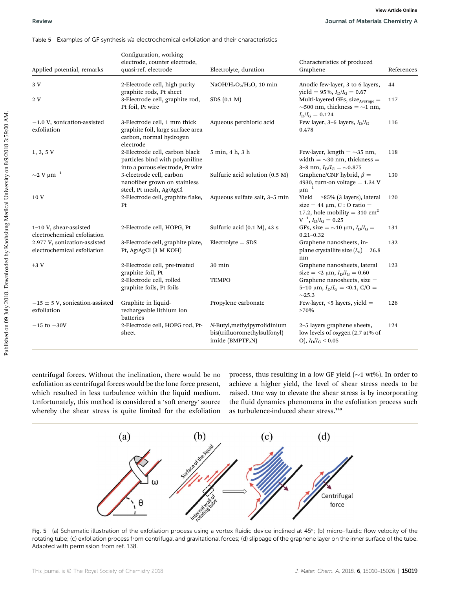|                                                             | Table 5 Examples of GF synthesis via electrochemical exfoliation and their characteristics                |                                                                                              |                                                                                                                                                  |            |
|-------------------------------------------------------------|-----------------------------------------------------------------------------------------------------------|----------------------------------------------------------------------------------------------|--------------------------------------------------------------------------------------------------------------------------------------------------|------------|
| Applied potential, remarks                                  | Configuration, working<br>electrode, counter electrode,<br>quasi-ref. electrode                           | Electrolyte, duration                                                                        | Characteristics of produced<br>Graphene                                                                                                          | References |
| 3 V                                                         | 2-Electrode cell, high purity<br>graphite rods, Pt sheet                                                  | NaOH/H <sub>2</sub> O <sub>2</sub> /H <sub>2</sub> O, 10 min                                 | Anodic few-layer, 3 to 6 layers,<br>yield = 95%, $I_{\rm D}/I_{\rm G} = 0.67$                                                                    | 44         |
| 2V                                                          | 3-Electrode cell, graphite rod,<br>Pt foil, Pt wire                                                       | SDS(0.1 M)                                                                                   | Multi-layered GFs, size <sub>Average</sub> =<br>$\sim$ 500 nm, thickness = $\sim$ 1 nm,<br>$I_{\rm D}/I_{\rm G}=0.124$                           | 117        |
| $-1.0$ V, sonication-assisted<br>exfoliation                | 3-Electrode cell, 1 mm thick<br>graphite foil, large surface area<br>carbon, normal hydrogen<br>electrode | Aqueous perchloric acid                                                                      | Few layer, 3-6 layers, $I_D/I_G =$<br>0.478                                                                                                      | 116        |
| $1, 3, 5$ V                                                 | 2-Electrode cell, carbon black<br>particles bind with polyaniline<br>into a porous electrode, Pt wire     | 5 min, 4 h, 3 h                                                                              | Few-layer, length $=$ ~35 nm,<br>width $=$ ~30 nm, thickness =<br>3-8 nm, $I_{\rm D}/I_{\rm G} = \sim 0.875$                                     | 118        |
| $\sim$ 2 V $\mu$ m $^{-1}$                                  | 3-electrode cell, carbon<br>nanofiber grown on stainless<br>steel, Pt mesh, Ag/AgCl                       | Sulfuric acid solution $(0.5 M)$                                                             | Graphene/CNF hybrid, $\beta$ =<br>4930, turn-on voltage = $1.34$ V<br>$\mu$ m <sup>-1</sup>                                                      | 130        |
| 10 V                                                        | 2-Electrode cell, graphite flake,<br>Pt                                                                   | Aqueous sulfate salt, 3-5 min                                                                | Yield $=$ >85% (3 layers), lateral<br>size = 44 $\mu$ m, C : O ratio =<br>17.2, hole mobility = 310 $\text{cm}^2$<br>$V^{-1}$ , $I_D/I_G = 0.25$ | 120        |
| 1-10 V, shear-assisted<br>electrochemical exfoliation       | 2-Electrode cell, HOPG, Pt                                                                                | Sulfuric acid (0.1 M), 43 s                                                                  | GFs, size = $\sim$ 10 µm, $I_{\text{D}}/I_{\text{G}}$ =<br>$0.21 - 0.32$                                                                         | 131        |
| 2.977 V, sonication-assisted<br>electrochemical exfoliation | 3-Electrode cell, graphite plate,<br>Pt, Ag/AgCl (3 M KOH)                                                | $Electrolyte = SDS$                                                                          | Graphene nanosheets, in-<br>plane crystallite size $(L_a) = 26.8$<br>nm                                                                          | 132        |
| $+3V$                                                       | 2-Electrode cell, pre-treated<br>graphite foil, Pt                                                        | 30 min                                                                                       | Graphene nanosheets, lateral<br>size = <2 $\mu$ m, $I_D/I_G = 0.60$                                                                              | 123        |
|                                                             | 2-Electrode cell, rolled<br>graphite foils, Pt foils                                                      | <b>TEMPO</b>                                                                                 | Graphene nanosheets, size =<br>5-10 $\mu$ m, $I_D/I_G = 0.1$ , C/O =<br>$\sim$ 25.3                                                              |            |
| $-15 \pm 5$ V, sonication-assisted<br>exfoliation           | Graphite in liquid-<br>rechargeable lithium ion<br>batteries                                              | Propylene carbonate                                                                          | Few-layer, $\le$ 5 layers, yield $=$<br>$>70\%$                                                                                                  | 126        |
| $-15$ to $-30V$                                             | 2-Electrode cell, HOPG rod, Pt-<br>sheet                                                                  | N-Butyl, methylpyrrolidinium<br>bis(trifluoromethylsulfonyl)<br>imide (BMPTF <sub>2</sub> N) | 2–5 layers graphene sheets,<br>low levels of oxygen (2.7 at% of<br>O), $I_{\rm D}/I_{\rm G}$ < 0.05                                              | 124        |

Table 5 Examples of GF synthesis via electrochemical exfoliation and their characteristics

centrifugal forces. Without the inclination, there would be no exfoliation as centrifugal forces would be the lone force present, which resulted in less turbulence within the liquid medium. Unfortunately, this method is considered a 'soft energy' source whereby the shear stress is quite limited for the exfoliation process, thus resulting in a low GF yield ( $\sim$ 1 wt%). In order to achieve a higher yield, the level of shear stress needs to be raised. One way to elevate the shear stress is by incorporating the fluid dynamics phenomena in the exfoliation process such as turbulence-induced shear stress.<sup>140</sup>



Fig. 5 (a) Schematic illustration of the exfoliation process using a vortex fluidic device inclined at  $45^\circ$ ; (b) micro-fluidic flow velocity of the rotating tube; (c) exfoliation process from centrifugal and gravitational forces; (d) slippage of the graphene layer on the inner surface of the tube. Adapted with permission from ref. 138.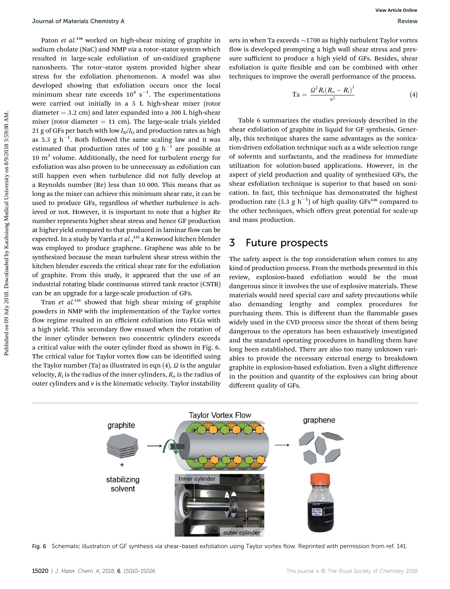Paton et al.<sup>136</sup> worked on high-shear mixing of graphite in sodium cholate (NaC) and NMP via a rotor–stator system which resulted in large-scale exfoliation of un-oxidized graphene nanosheets. The rotor–stator system provided higher shear stress for the exfoliation phenomenon. A model was also developed showing that exfoliation occurs once the local minimum shear rate exceeds  $10^4 \text{ s}^{-1}$ . The experimentations were carried out initially in a 5 L high-shear mixer (rotor diameter  $= 3.2$  cm) and later expanded into a 300 L high-shear mixer (rotor diameter  $= 11$  cm). The large-scale trials yielded 21 g of GFs per batch with low  $I_D/I_G$  and production rates as high as 5.3  $g h^{-1}$ . Both followed the same scaling law and it was estimated that production rates of 100 g  $h^{-1}$  are possible at  $10 \text{ m}^3$  volume. Additionally, the need for turbulent energy for exfoliation was also proven to be unnecessary as exfoliation can still happen even when turbulence did not fully develop at a Reynolds number (Re) less than 10 000. This means that as long as the mixer can achieve this minimum shear rate, it can be used to produce GFs, regardless of whether turbulence is achieved or not. However, it is important to note that a higher Re number represents higher shear stress and hence GF production at higher yield compared to that produced in laminar flow can be expected. In a study by Varrla *et al*.,<sup>135</sup> a Kenwood kitchen blender was employed to produce graphene. Graphene was able to be synthesized because the mean turbulent shear stress within the kitchen blender exceeds the critical shear rate for the exfoliation of graphite. From this study, it appeared that the use of an industrial rotating blade continuous stirred tank reactor (CSTR) can be an upgrade for a large-scale production of GFs. Journal of Metrishs Chemisty A<br>
readiction of each works on 0 signification and the signification and the signification and the signification and the signification of each interaction and the signification and the signifi

Tran et al.<sup>141</sup> showed that high shear mixing of graphite powders in NMP with the implementation of the Taylor vortex flow regime resulted in an efficient exfoliation into FLGs with a high yield. This secondary flow ensued when the rotation of the inner cylinder between two concentric cylinders exceeds a critical value with the outer cylinder fixed as shown in Fig. 6. The critical value for Taylor vortex flow can be identified using the Taylor number (Ta) as illustrated in eqn  $(4)$ .  $\Omega$  is the angular velocity,  $R_i$  is the radius of the inner cylinders,  $R_0$  is the radius of outer cylinders and  $\nu$  is the kinematic velocity. Taylor instability

sets in when Ta exceeds  $\sim$  1700 as highly turbulent Taylor vortex flow is developed prompting a high wall shear stress and pressure sufficient to produce a high yield of GFs. Besides, shear exfoliation is quite flexible and can be combined with other techniques to improve the overall performance of the process.

$$
Ta = \frac{Q^2 R_i (R_o - R_i)^3}{v^2}
$$
 (4)

Table 6 summarizes the studies previously described in the shear exfoliation of graphite in liquid for GF synthesis. Generally, this technique shares the same advantages as the sonication-driven exfoliation technique such as a wide selection range of solvents and surfactants, and the readiness for immediate utilization for solution-based applications. However, in the aspect of yield production and quality of synthesized GFs, the shear exfoliation technique is superior to that based on sonication. In fact, this technique has demonstrated the highest production rate (5.3  $g h^{-1}$ ) of high quality GFs<sup>136</sup> compared to the other techniques, which offers great potential for scale-up and mass production.

### 3 Future prospects

The safety aspect is the top consideration when comes to any kind of production process. From the methods presented in this review, explosion-based exfoliation would be the most dangerous since it involves the use of explosive materials. These materials would need special care and safety precautions while also demanding lengthy and complex procedures for purchasing them. This is different than the flammable gases widely used in the CVD process since the threat of them being dangerous to the operators has been exhaustively investigated and the standard operating procedures in handling them have long been established. There are also too many unknown variables to provide the necessary external energy to breakdown graphite in explosion-based exfoliation. Even a slight difference in the position and quantity of the explosives can bring about different quality of GFs.



Fig. 6 Schematic illustration of GF synthesis via shear-based exfoliation using Taylor vortex flow. Reprinted with permission from ref. 141.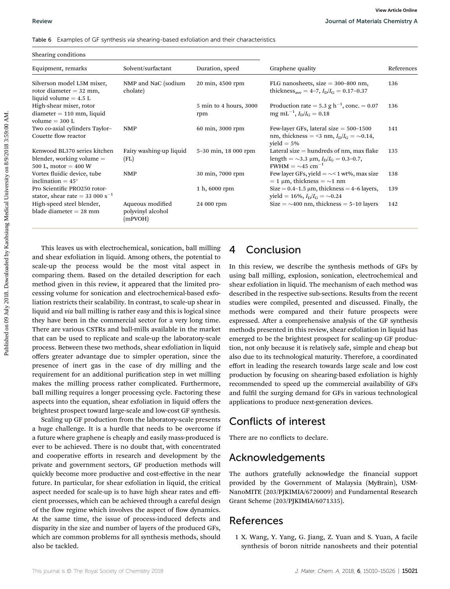This leaves us with electrochemical, sonication, ball milling and shear exfoliation in liquid. Among others, the potential to scale-up the process would be the most vital aspect in comparing them. Based on the detailed description for each method given in this review, it appeared that the limited processing volume for sonication and electrochemical-based exfoliation restricts their scalability. In contrast, to scale-up shear in liquid and via ball milling is rather easy and this is logical since they have been in the commercial sector for a very long time. There are various CSTRs and ball-mills available in the market that can be used to replicate and scale-up the laboratory-scale process. Between these two methods, shear exfoliation in liquid offers greater advantage due to simpler operation, since the presence of inert gas in the case of dry milling and the requirement for an additional purification step in wet milling makes the milling process rather complicated. Furthermore, ball milling requires a longer processing cycle. Factoring these aspects into the equation, shear exfoliation in liquid offers the brightest prospect toward large-scale and low-cost GF synthesis.

Scaling up GF production from the laboratory-scale presents a huge challenge. It is a hurdle that needs to be overcome if a future where graphene is cheaply and easily mass-produced is ever to be achieved. There is no doubt that, with concentrated and cooperative efforts in research and development by the private and government sectors, GF production methods will quickly become more productive and cost-effective in the near future. In particular, for shear exfoliation in liquid, the critical aspect needed for scale-up is to have high shear rates and efficient processes, which can be achieved through a careful design of the flow regime which involves the aspect of flow dynamics. At the same time, the issue of process-induced defects and disparity in the size and number of layers of the produced GFs, which are common problems for all synthesis methods, should also be tackled.

## 4 Conclusion

In this review, we describe the synthesis methods of GFs by using ball milling, explosion, sonication, electrochemical and shear exfoliation in liquid. The mechanism of each method was described in the respective sub-sections. Results from the recent studies were compiled, presented and discussed. Finally, the methods were compared and their future prospects were expressed. After a comprehensive analysis of the GF synthesis methods presented in this review, shear exfoliation in liquid has emerged to be the brightest prospect for scaling-up GF production, not only because it is relatively safe, simple and cheap but also due to its technological maturity. Therefore, a coordinated effort in leading the research towards large scale and low cost production by focusing on shearing-based exfoliation is highly recommended to speed up the commercial availability of GFs and fulfil the surging demand for GFs in various technological applications to produce next-generation devices.

## Conflicts of interest

There are no conflicts to declare.

## Acknowledgements

The authors gratefully acknowledge the financial support provided by the Government of Malaysia (MyBrain), USM-NanoMITE (203/PJKIMIA/6720009) and Fundamental Research Grant Scheme (203/PJKIMIA/6071335).

## References

1 X. Wang, Y. Yang, G. Jiang, Z. Yuan and S. Yuan, A facile synthesis of boron nitride nanosheets and their potential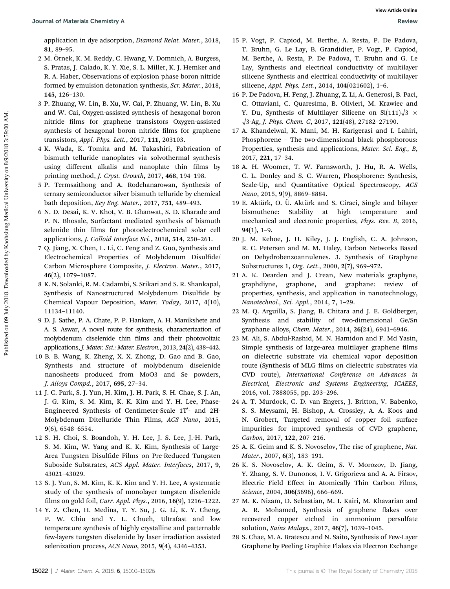application in dye adsorption, Diamond Relat. Mater., 2018, 81, 89–95.

- 2 M. Ornek, K. M. Reddy, C. Hwang, V. Domnich, A. Burgess, ¨ S. Pratas, J. Calado, K. Y. Xie, S. L. Miller, K. J. Hemker and R. A. Haber, Observations of explosion phase boron nitride formed by emulsion detonation synthesis, Scr. Mater., 2018, 145, 126–130.
- 3 P. Zhuang, W. Lin, B. Xu, W. Cai, P. Zhuang, W. Lin, B. Xu and W. Cai, Oxygen-assisted synthesis of hexagonal boron nitride films for graphene transistors Oxygen-assisted synthesis of hexagonal boron nitride films for graphene transistors, Appl. Phys. Lett., 2017, 111, 203103.
- 4 K. Wada, K. Tomita and M. Takashiri, Fabrication of bismuth telluride nanoplates via solvothermal synthesis using different alkalis and nanoplate thin films by printing method, J. Cryst. Growth, 2017, 468, 194-198.
- 5 P. Termsaithong and A. Rodchanarowan, Synthesis of ternary semiconductor silver bismuth telluride by chemical bath deposition, Key Eng. Mater., 2017, 751, 489–493.
- 6 N. D. Desai, K. V. Khot, V. B. Ghanwat, S. D. Kharade and P. N. Bhosale, Surfactant mediated synthesis of bismuth selenide thin films for photoelectrochemical solar cell applications, J. Colloid Interface Sci., 2018, 514, 250–261.
- 7 Q. Jiang, X. Chen, L. Li, C. Feng and Z. Guo, Synthesis and Electrochemical Properties of Molybdenum Disulde/ Carbon Microsphere Composite, J. Electron. Mater., 2017, 46(2), 1079–1087.
- 8 K. N. Solanki, R. M. Cadambi, S. Srikari and S. R. Shankapal, Synthesis of Nanostructured Molybdenum Disulfide by Chemical Vapour Deposition, Mater. Today, 2017, 4(10), 11134–11140.
- 9 D. J. Sathe, P. A. Chate, P. P. Hankare, A. H. Manikshete and A. S. Aswar, A novel route for synthesis, characterization of molybdenum diselenide thin films and their photovoltaic applications, J. Mater. Sci.: Mater. Electron., 2013, 24(2), 438–442.
- 10 B. B. Wang, K. Zheng, X. X. Zhong, D. Gao and B. Gao, Synthesis and structure of molybdenum diselenide nanosheets produced from MoO3 and Se powders, J. Alloys Compd., 2017, 695, 27–34.
- 11 J. C. Park, S. J. Yun, H. Kim, J. H. Park, S. H. Chae, S. J. An, J. G. Kim, S. M. Kim, K. K. Kim and Y. H. Lee, Phase-Engineered Synthesis of Centimeter-Scale  $1T'$ - and  $2H$ -Molybdenum Ditelluride Thin Films, ACS Nano, 2015, 9(6), 6548–6554.
- 12 S. H. Choi, S. Boandoh, Y. H. Lee, J. S. Lee, J.-H. Park, S. M. Kim, W. Yang and K. K. Kim, Synthesis of Large-Area Tungsten Disulfide Films on Pre-Reduced Tungsten Suboxide Substrates, ACS Appl. Mater. Interfaces, 2017, 9, 43021–43029.
- 13 S. J. Yun, S. M. Kim, K. K. Kim and Y. H. Lee, A systematic study of the synthesis of monolayer tungsten diselenide films on gold foil, Curr. Appl. Phys., 2016, 16(9), 1216-1222.
- 14 Y. Z. Chen, H. Medina, T. Y. Su, J. G. Li, K. Y. Cheng, P. W. Chiu and Y. L. Chueh, Ultrafast and low temperature synthesis of highly crystalline and patternable few-layers tungsten diselenide by laser irradiation assisted selenization process, ACS Nano, 2015, 9(4), 4346–4353.
- 15 P. Vogt, P. Capiod, M. Berthe, A. Resta, P. De Padova, T. Bruhn, G. Le Lay, B. Grandidier, P. Vogt, P. Capiod, M. Berthe, A. Resta, P. De Padova, T. Bruhn and G. Le Lay, Synthesis and electrical conductivity of multilayer silicene Synthesis and electrical conductivity of multilayer silicene, Appl. Phys. Lett., 2014, 104(021602), 1–6. **Dourmal of Meterials Chemistry Association**, 2018. 13 P. vogt, P. Gapied, & Berke, R. Hays Reiss, R. Hays Reiss, R. Hays Reiss, R. March Control and Europe, V. Gapied, A. Hays Reiss, Paul and The Control and The Control
	- 16 P. De Padova, H. Feng, J. Zhuang, Z. Li, A. Generosi, B. Paci, C. Ottaviani, C. Quaresima, B. Olivieri, M. Krawiec and Y. Du, Synthesis of Multilayer Silicene on Si(111) $\sqrt{3}$  ×  $\sqrt{3}$ -Ag, J. Phys. Chem. C, 2017, 121(48), 27182-27190.
	- 17 A. Khandelwal, K. Mani, M. H. Karigerasi and I. Lahiri, Phosphorene – The two-dimensional black phosphorous: Properties, synthesis and applications, Mater. Sci. Eng., B, 2017, 221, 17–34.
	- 18 A. H. Woomer, T. W. Farnsworth, J. Hu, R. A. Wells, C. L. Donley and S. C. Warren, Phosphorene: Synthesis, Scale-Up, and Quantitative Optical Spectroscopy, ACS Nano, 2015, 9(9), 8869–8884.
	- 19 E. Aktürk, O. Ü. Aktürk and S. Ciraci, Single and bilayer bismuthene: Stability at high temperature and mechanical and electronic properties, Phys. Rev. B, 2016,  $94(1), 1-9.$
	- 20 J. M. Kehoe, J. H. Kiley, J. J. English, C. A. Johnson, R. C. Petersen and M. M. Haley, Carbon Networks Based on Dehydrobenzoannulenes. 3. Synthesis of Graphyne Substructures 1, Org. Lett., 2000, 2(7), 969–972.
	- 21 A. K. Dearden and J. Crean, New materials graphyne, graphdiyne, graphone, and graphane: review of properties, synthesis, and application in nanotechnology, Nanotechnol., Sci. Appl., 2014, 7, 1–29.
	- 22 M. Q. Arguilla, S. Jiang, B. Chitara and J. E. Goldberger, Synthesis and stability of two-dimensional Ge/Sn graphane alloys, Chem. Mater., 2014, 26(24), 6941–6946.
	- 23 M. Ali, S. Abdul-Rashid, M. N. Hamidon and F. Md Yasin, Simple synthesis of large-area multilayer graphene films on dielectric substrate via chemical vapor deposition route (Synthesis of MLG films on dielectric substrates via CVD route), International Conference on Advances in Electrical, Electronic and Systems Engineering, ICAEES, 2016, vol. 7888055, pp. 293–296.
	- 24 A. T. Murdock, C. D. van Engers, J. Britton, V. Babenko, S. S. Meysami, H. Bishop, A. Crossley, A. A. Koos and N. Grobert, Targeted removal of copper foil surface impurities for improved synthesis of CVD graphene, Carbon, 2017, 122, 207–216.
	- 25 A. K. Geim and K. S. Novoselov, The rise of graphene, Nat. Mater., 2007, 6(3), 183–191.
	- 26 K. S. Novoselov, A. K. Geim, S. V. Morozov, D. Jiang, Y. Zhang, S. V. Dunonos, I. V. Grigorieva and A. A. Firsov, Electric Field Effect in Atomically Thin Carbon Films, Science, 2004, 306(5696), 666–669.
	- 27 M. K. Nizam, D. Sebastian, M. I. Kairi, M. Khavarian and A. R. Mohamed, Synthesis of graphene flakes over recovered copper etched in ammonium persulfate solution, Sains Malays., 2017, 46(7), 1039–1045.
	- 28 S. Chae, M. A. Bratescu and N. Saito, Synthesis of Few-Layer Graphene by Peeling Graphite Flakes via Electron Exchange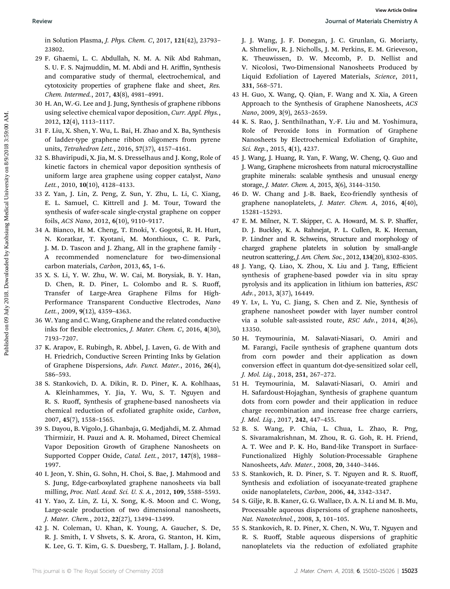in Solution Plasma, J. Phys. Chem. C, 2017, 121(42), 23793– 23802.

- 29 F. Ghaemi, L. C. Abdullah, N. M. A. Nik Abd Rahman, S. U. F. S. Najmuddin, M. M. Abdi and H. Ariffin, Synthesis and comparative study of thermal, electrochemical, and cytotoxicity properties of graphene flake and sheet, Res. Chem. Intermed., 2017, 43(8), 4981–4991.
- 30 H. An, W.-G. Lee and J. Jung, Synthesis of graphene ribbons using selective chemical vapor deposition, Curr. Appl. Phys., 2012, 12(4), 1113–1117.
- 31 F. Liu, X. Shen, Y. Wu, L. Bai, H. Zhao and X. Ba, Synthesis of ladder-type graphene ribbon oligomers from pyrene units, Tetrahedron Lett., 2016, 57(37), 4157–4161.
- 32 S. Bhaviripudi, X. Jia, M. S. Dresselhaus and J. Kong, Role of kinetic factors in chemical vapor deposition synthesis of uniform large area graphene using copper catalyst, Nano Lett., 2010, 10(10), 4128-4133.
- 33 Z. Yan, J. Lin, Z. Peng, Z. Sun, Y. Zhu, L. Li, C. Xiang, E. L. Samuel, C. Kittrell and J. M. Tour, Toward the synthesis of wafer-scale single-crystal graphene on copper foils, ACS Nano, 2012, 6(10), 9110–9117.
- 34 A. Bianco, H. M. Cheng, T. Enoki, Y. Gogotsi, R. H. Hurt, N. Koratkar, T. Kyotani, M. Monthioux, C. R. Park, J. M. D. Tascon and J. Zhang, All in the graphene family - A recommended nomenclature for two-dimensional carbon materials, Carbon, 2013, 65, 1–6.
- 35 X. S. Li, Y. W. Zhu, W. W. Cai, M. Borysiak, B. Y. Han, D. Chen, R. D. Piner, L. Colombo and R. S. Ruoff, Transfer of Large-Area Graphene Films for High-Performance Transparent Conductive Electrodes, Nano Lett., 2009, 9(12), 4359-4363.
- 36 W. Yang and C. Wang, Graphene and the related conductive inks for flexible electronics, *J. Mater. Chem. C*, 2016, 4(30), 7193–7207.
- 37 K. Arapov, E. Rubingh, R. Abbel, J. Laven, G. de With and H. Friedrich, Conductive Screen Printing Inks by Gelation of Graphene Dispersions, Adv. Funct. Mater., 2016, 26(4), 586–593.
- 38 S. Stankovich, D. A. Dikin, R. D. Piner, K. A. Kohlhaas, A. Kleinhammes, Y. Jia, Y. Wu, S. T. Nguyen and R. S. Ruoff, Synthesis of graphene-based nanosheets via chemical reduction of exfoliated graphite oxide, Carbon, 2007, 45(7), 1558–1565.
- 39 S. Dayou, B. Vigolo, J. Ghanbaja, G. Medjahdi, M. Z. Ahmad Thirmizir, H. Pauzi and A. R. Mohamed, Direct Chemical Vapor Deposition Growth of Graphene Nanosheets on Supported Copper Oxide, Catal. Lett., 2017, 147(8), 1988– 1997.
- 40 I. Jeon, Y. Shin, G. Sohn, H. Choi, S. Bae, J. Mahmood and S. Jung, Edge-carboxylated graphene nanosheets via ball milling, Proc. Natl. Acad. Sci. U. S. A., 2012, 109, 5588–5593.
- 41 Y. Yao, Z. Lin, Z. Li, X. Song, K.-S. Moon and C. Wong, Large-scale production of two dimensional nanosheets, J. Mater. Chem., 2012, 22(27), 13494–13499.
- 42 J. N. Coleman, U. Khan, K. Young, A. Gaucher, S. De, R. J. Smith, I. V Shvets, S. K. Arora, G. Stanton, H. Kim, K. Lee, G. T. Kim, G. S. Duesberg, T. Hallam, J. J. Boland,

J. J. Wang, J. F. Donegan, J. C. Grunlan, G. Moriarty, A. Shmeliov, R. J. Nicholls, J. M. Perkins, E. M. Grieveson, K. Theuwissen, D. W. Mccomb, P. D. Nellist and V. Nicolosi, Two-Dimensional Nanosheets Produced by Liquid Exfoliation of Layered Materials, Science, 2011, 331, 568–571. Positive South (1913. Downloade by Kaohsin South (1914. 1913. A statistical Condition Condition Condition Condition Condition Condition Condition Condition Condition Condition Condition Condition Condition Condition Condi

- 43 H. Guo, X. Wang, Q. Qian, F. Wang and X. Xia, A Green Approach to the Synthesis of Graphene Nanosheets, ACS Nano, 2009, 3(9), 2653–2659.
- 44 K. S. Rao, J. Senthilnathan, Y.-F. Liu and M. Yoshimura, Role of Peroxide Ions in Formation of Graphene Nanosheets by Electrochemical Exfoliation of Graphite, Sci. Rep., 2015, 4(1), 4237.
- 45 J. Wang, J. Huang, R. Yan, F. Wang, W. Cheng, Q. Guo and J. Wang, Graphene microsheets from natural microcrystalline graphite minerals: scalable synthesis and unusual energy storage, J. Mater. Chem. A, 2015, 3(6), 3144–3150.
- 46 D. W. Chang and J.-B. Baek, Eco-friendly synthesis of graphene nanoplatelets, J. Mater. Chem. A, 2016, 4(40), 15281–15293.
- 47 E. M. Milner, N. T. Skipper, C. A. Howard, M. S. P. Shaffer, D. J. Buckley, K. A. Rahnejat, P. L. Cullen, R. K. Heenan, P. Lindner and R. Schweins, Structure and morphology of charged graphene platelets in solution by small-angle neutron scattering, J. Am. Chem. Soc., 2012, 134(20), 8302–8305.
- 48 J. Yang, Q. Liao, X. Zhou, X. Liu and J. Tang, Efficient synthesis of graphene-based powder via in situ spray pyrolysis and its application in lithium ion batteries, RSC Adv., 2013, 3(37), 16449.
- 49 Y. Lv, L. Yu, C. Jiang, S. Chen and Z. Nie, Synthesis of graphene nanosheet powder with layer number control via a soluble salt-assisted route, RSC Adv., 2014, 4(26), 13350.
- 50 H. Teymourinia, M. Salavati-Niasari, O. Amiri and M. Farangi, Facile synthesis of graphene quantum dots from corn powder and their application as down conversion effect in quantum dot-dye-sensitized solar cell, J. Mol. Liq., 2018, 251, 267–272.
- 51 H. Teymourinia, M. Salavati-Niasari, O. Amiri and H. Safardoust-Hojaghan, Synthesis of graphene quantum dots from corn powder and their application in reduce charge recombination and increase free charge carriers, J. Mol. Liq., 2017, 242, 447–455.
- 52 B. S. Wang, P. Chia, L. Chua, L. Zhao, R. Png, S. Sivaramakrishnan, M. Zhou, R. G. Goh, R. H. Friend, A. T. Wee and P. K. Ho, Band-like Transport in Surface-Functionalized Highly Solution-Processable Graphene Nanosheets, Adv. Mater., 2008, 20, 3440–3446.
- 53 S. Stankovich, R. D. Piner, S. T. Nguyen and R. S. Ruoff, Synthesis and exfoliation of isocyanate-treated graphene oxide nanoplatelets, Carbon, 2006, 44, 3342–3347.
- 54 S. Gilje, R. B. Kaner, G. G. Wallace, D. A. N. Li and M. B. Mu, Processable aqueous dispersions of graphene nanosheets, Nat. Nanotechnol., 2008, 3, 101–105.
- 55 S. Stankovich, R. D. Piner, X. Chen, N. Wu, T. Nguyen and R. S. Ruoff, Stable aqueous dispersions of graphitic nanoplatelets via the reduction of exfoliated graphite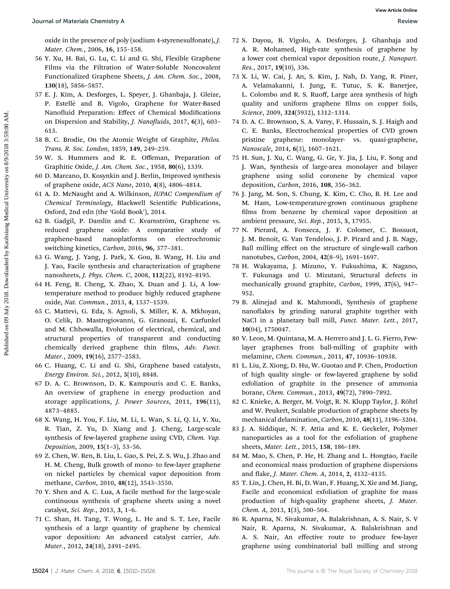oxide in the presence of poly (sodium 4-styrenesulfonate), J. Mater. Chem., 2006, 16, 155–158.

- 56 Y. Xu, H. Bai, G. Lu, C. Li and G. Shi, Flexible Graphene Films via the Filtration of Water-Soluble Noncovalent Functionalized Graphene Sheets, J. Am. Chem. Soc., 2008, 130(18), 5856–5857.
- 57 E. J. Kim, A. Desforges, L. Speyer, J. Ghanbaja, J. Gleize, P. Estellé and B. Vigolo, Graphene for Water-Based Nanofluid Preparation: Effect of Chemical Modifications on Dispersion and Stability, *J. Nanofluids*, 2017, 6(3), 603– 613.
- 58 B. C. Brodie, On the Atomic Weight of Graphite, Philos. Trans. R. Soc. London, 1859, 149, 249–259.
- 59 W. S. Hummers and R. E. Offeman, Preparation of Graphitic Oxide, J. Am. Chem. Soc., 1958, 80(6), 1339.
- 60 D. Marcano, D. Kosynkin and J. Berlin, Improved synthesis of graphene oxide, ACS Nano, 2010, 4(8), 4806–4814.
- 61 A. D. McNaught and A. Wilkinson, IUPAC Compendium of Chemical Terminology, Blackwell Scientific Publications, Oxford, 2nd edn (the 'Gold Book'), 2014.
- 62 B. Gadgil, P. Damlin and C. Kvarnström, Graphene vs. reduced graphene oxide: A comparative study of graphene-based nanoplatforms on electrochromic switching kinetics, Carbon, 2016, 96, 377–381.
- 63 G. Wang, J. Yang, J. Park, X. Gou, B. Wang, H. Liu and J. Yao, Facile synthesis and characterization of graphene nanosheets, J. Phys. Chem. C, 2008, 112(22), 8192–8195.
- 64 H. Feng, R. Cheng, X. Zhao, X. Duan and J. Li, A lowtemperature method to produce highly reduced graphene oxide, Nat. Commun., 2013, 4, 1537–1539.
- 65 C. Mattevi, G. Eda, S. Agnoli, S. Miller, K. A. Mkhoyan, O. Celik, D. Mastrogiovanni, G. Granozzi, E. Carfunkel and M. Chhowalla, Evolution of electrical, chemical, and structural properties of transparent and conducting chemically derived graphene thin films, Adv. Funct. Mater., 2009, 19(16), 2577–2583. Published Crientins of Materials Chemistry A<br>
origins and the stress of the stress of the stress of the stress of the stress of the stress of the stress of the stress of the stress of the stress of the stress of the stres
	- 66 C. Huang, C. Li and G. Shi, Graphene based catalysts, Energy Environ. Sci., 2012, 5(10), 8848.
	- 67 D. A. C. Brownson, D. K. Kampouris and C. E. Banks, An overview of graphene in energy production and storage applications, J. Power Sources, 2011, 196(11), 4873–4885.
	- 68 X. Wang, H. You, F. Liu, M. Li, L. Wan, S. Li, Q. Li, Y. Xu, R. Tian, Z. Yu, D. Xiang and J. Cheng, Large-scale synthesis of few-layered graphene using CVD, Chem. Vap. Deposition, 2009, 15(1–3), 53–56.
	- 69 Z. Chen, W. Ren, B. Liu, L. Gao, S. Pei, Z. S. Wu, J. Zhao and H. M. Cheng, Bulk growth of mono- to few-layer graphene on nickel particles by chemical vapor deposition from methane, Carbon, 2010, 48(12), 3543–3550.
	- 70 Y. Shen and A. C. Lua, A facile method for the large-scale continuous synthesis of graphene sheets using a novel catalyst, Sci. Rep., 2013, 3, 1–6.
	- 71 C. Shan, H. Tang, T. Wong, L. He and S. T. Lee, Facile synthesis of a large quantity of graphene by chemical vapor deposition: An advanced catalyst carrier, Adv. Mater., 2012, 24(18), 2491–2495.
- 72 S. Dayou, B. Vigolo, A. Desforges, J. Ghanbaja and A. R. Mohamed, High-rate synthesis of graphene by a lower cost chemical vapor deposition route, J. Nanopart. Res., 2017, 19(10), 336.
- 73 X. Li, W. Cai, J. An, S. Kim, J. Nah, D. Yang, R. Piner, A. Velamakanni, I. Jung, E. Tutuc, S. K. Banerjee, L. Colombo and R. S. Ruoff, Large area synthesis of high quality and uniform graphene films on copper foils, Science, 2009, 324(5932), 1312–1314.
- 74 D. A. C. Brownson, S. A. Varey, F. Hussain, S. J. Haigh and C. E. Banks, Electrochemical properties of CVD grown pristine graphene: monolayer- vs. quasi-graphene, Nanoscale, 2014, 6(3), 1607–1621.
- 75 H. Sun, J. Xu, C. Wang, G. Ge, Y. Jia, J. Liu, F. Song and J. Wan, Synthesis of large-area monolayer and bilayer graphene using solid coronene by chemical vapor deposition, Carbon, 2016, 108, 356–362.
- 76 J. Jang, M. Son, S. Chung, K. Kim, C. Cho, B. H. Lee and M. Ham, Low-temperature-grown continuous graphene films from benzene by chemical vapor deposition at ambient pressure, Sci. Rep., 2015, 5, 17955.
- 77 N. Pierard, A. Fonseca, J. F. Colomer, C. Bossuot, J. M. Benoit, G. Van Tendeloo, J. P. Pirard and J. B. Nagy, Ball milling effect on the structure of single-wall carbon nanotubes, Carbon, 2004, 42(8–9), 1691–1697.
- 78 H. Wakayama, J. Mizuno, Y. Fukushima, K. Nagano, T. Fukunaga and U. Mizutani, Structural defects in mechanically ground graphite, Carbon, 1999, 37(6), 947– 952.
- 79 B. Alinejad and K. Mahmoodi, Synthesis of graphene nanoflakes by grinding natural graphite together with NaCl in a planetary ball mill, Funct. Mater. Lett., 2017, 10(04), 1750047.
- 80 V. Leon, M. Quintana, M. A. Herrero and J. L. G. Fierro, Fewlayer graphenes from ball-milling of graphite with melamine, Chem. Commun., 2011, 47, 10936–10938.
- 81 L. Liu, Z. Xiong, D. Hu, W. Guotao and P. Chen, Production of high quality single- or few-layered graphene by solid exfoliation of graphite in the presence of ammonia borane, Chem. Commun., 2013, 49(72), 7890–7892.
- 82 C. Knieke, A. Berger, M. Voigt, R. N. Klupp Taylor, J. Röhrl and W. Peukert, Scalable production of graphene sheets by mechanical delamination, Carbon, 2010, 48(11), 3196–3204.
- 83 J. A. Siddique, N. F. Attia and K. E. Geckeler, Polymer nanoparticles as a tool for the exfoliation of graphene sheets, Mater. Lett., 2015, 158, 186–189.
- 84 M. Mao, S. Chen, P. He, H. Zhang and L. Hongtao, Facile and economical mass production of graphene dispersions and flake, J. Mater. Chem. A, 2014, 2, 4132-4135.
- 85 T. Lin, J. Chen, H. Bi, D. Wan, F. Huang, X. Xie and M. Jiang, Facile and economical exfoliation of graphite for mass production of high-quality graphene sheets, J. Mater. Chem. A, 2013, 1(3), 500–504.
- 86 R. Aparna, N. Sivakumar, A. Balakrishnan, A. S. Nair, S. V Nair, R. Aparna, N. Sivakumar, A. Balakrishnan and A. S. Nair, An effective route to produce few-layer graphene using combinatorial ball milling and strong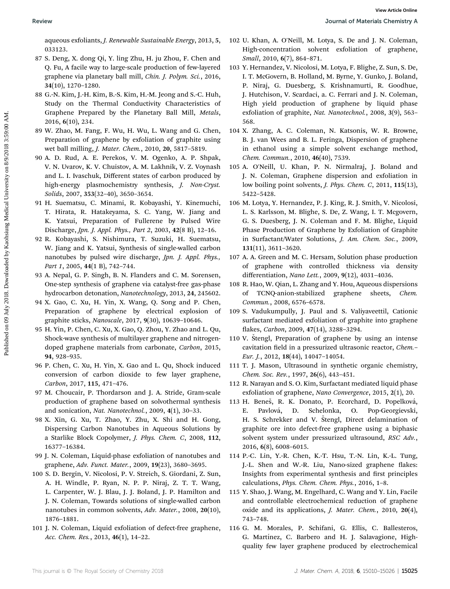aqueous exfoliants, J. Renewable Sustainable Energy, 2013, 5, 033123.

- 87 S. Deng, X. dong Qi, Y. ling Zhu, H. ju Zhou, F. Chen and Q. Fu, A facile way to large-scale production of few-layered graphene via planetary ball mill, Chin. J. Polym. Sci., 2016, 34(10), 1270–1280.
- 88 G.-N. Kim, J.-H. Kim, B.-S. Kim, H.-M. Jeong and S.-C. Huh, Study on the Thermal Conductivity Characteristics of Graphene Prepared by the Planetary Ball Mill, Metals, 2016, 6(10), 234.
- 89 W. Zhao, M. Fang, F. Wu, H. Wu, L. Wang and G. Chen, Preparation of graphene by exfoliation of graphite using wet ball milling, J. Mater. Chem., 2010, 20, 5817–5819.
- 90 A. D. Rud, A. E. Perekos, V. M. Ogenko, A. P. Shpak, V. N. Uvarov, K. V. Chuistov, A. M. Lakhnik, V. Z. Voynash and L. I. Ivaschuk, Different states of carbon produced by high-energy plasmochemistry synthesis, *J. Non-Cryst.* Solids, 2007, 353(32–40), 3650–3654.
- 91 H. Suematsu, C. Minami, R. Kobayashi, Y. Kinemuchi, T. Hirata, R. Hatakeyama, S. C. Yang, W. Jiang and K. Yatsui, Preparation of Fullerene by Pulsed Wire Discharge, Jpn. J. Appl. Phys., Part 2, 2003, 42(8 B), 12–16.
- 92 R. Kobayashi, S. Nishimura, T. Suzuki, H. Suematsu, W. Jiang and K. Yatsui, Synthesis of single-walled carbon nanotubes by pulsed wire discharge, Jpn. J. Appl. Phys., Part 1, 2005, 44(1 B), 742-744.
- 93 A. Nepal, G. P. Singh, B. N. Flanders and C. M. Sorensen, One-step synthesis of graphene via catalyst-free gas-phase hydrocarbon detonation, Nanotechnology, 2013, 24, 245602.
- 94 X. Gao, C. Xu, H. Yin, X. Wang, Q. Song and P. Chen, Preparation of graphene by electrical explosion of graphite sticks, Nanoscale, 2017, 9(30), 10639–10646.
- 95 H. Yin, P. Chen, C. Xu, X. Gao, Q. Zhou, Y. Zhao and L. Qu, Shock-wave synthesis of multilayer graphene and nitrogendoped graphene materials from carbonate, Carbon, 2015, 94, 928–935.
- 96 P. Chen, C. Xu, H. Yin, X. Gao and L. Qu, Shock induced conversion of carbon dioxide to few layer graphene, Carbon, 2017, 115, 471–476.
- 97 M. Choucair, P. Thordarson and J. A. Stride, Gram-scale production of graphene based on solvothermal synthesis and sonication, Nat. Nanotechnol., 2009, 4(1), 30–33.
- 98 X. Xin, G. Xu, T. Zhao, Y. Zhu, X. Shi and H. Gong, Dispersing Carbon Nanotubes in Aqueous Solutions by a Starlike Block Copolymer, J. Phys. Chem. C, 2008, 112, 16377–16384.
- 99 J. N. Coleman, Liquid-phase exfoliation of nanotubes and graphene, Adv. Funct. Mater., 2009, 19(23), 3680–3695.
- 100 S. D. Bergin, V. Nicolosi, P. V. Streich, S. Giordani, Z. Sun, A. H. Windle, P. Ryan, N. P. P. Niraj, Z. T. T. Wang, L. Carpenter, W. J. Blau, J. J. Boland, J. P. Hamilton and J. N. Coleman, Towards solutions of single-walled carbon nanotubes in common solvents, Adv. Mater., 2008, 20(10), 1876–1881.
- 101 J. N. Coleman, Liquid exfoliation of defect-free graphene, Acc. Chem. Res., 2013, 46(1), 14–22.
- 102 U. Khan, A. O'Neill, M. Lotya, S. De and J. N. Coleman, High-concentration solvent exfoliation of graphene, Small, 2010, 6(7), 864–871.
- 103 Y. Hernandez, V. Nicolosi, M. Lotya, F. Blighe, Z. Sun, S. De, I. T. McGovern, B. Holland, M. Byrne, Y. Gunko, J. Boland, P. Niraj, G. Duesberg, S. Krishnamurti, R. Goodhue, J. Hutchison, V. Scardaci, a. C. Ferrari and J. N. Coleman, High yield production of graphene by liquid phase exfoliation of graphite, Nat. Nanotechnol., 2008, 3(9), 563-568. Positive Sources (and the state of the state of the state of the state of the state of the state of the state of the state of the state of the state of the state of the state of the state of the state of the state of the
	- 104 X. Zhang, A. C. Coleman, N. Katsonis, W. R. Browne, B. J. van Wees and B. L. Feringa, Dispersion of graphene in ethanol using a simple solvent exchange method, Chem. Commun., 2010, 46(40), 7539.
	- 105 A. O'Neill, U. Khan, P. N. Nirmalraj, J. Boland and J. N. Coleman, Graphene dispersion and exfoliation in low boiling point solvents, J. Phys. Chem. C, 2011, 115(13), 5422–5428.
	- 106 M. Lotya, Y. Hernandez, P. J. King, R. J. Smith, V. Nicolosi, L. S. Karlsson, M. Blighe, S. De, Z. Wang, I. T. Mcgovern, G. S. Duesberg, J. N. Coleman and F. M. Blighe, Liquid Phase Production of Graphene by Exfoliation of Graphite in Surfactant/Water Solutions, J. Am. Chem. Soc., 2009, 131(11), 3611–3620.
	- 107 A. A. Green and M. C. Hersam, Solution phase production of graphene with controlled thickness via density differentiation, Nano Lett., 2009, 9(12), 4031–4036.
	- 108 R. Hao, W. Qian, L. Zhang and Y. Hou, Aqueous dispersions of TCNQ-anion-stabilized graphene sheets, Chem. Commun., 2008, 6576–6578.
	- 109 S. Vadukumpully, J. Paul and S. Valiyaveettil, Cationic surfactant mediated exfoliation of graphite into graphene flakes, Carbon, 2009, 47(14), 3288-3294.
	- 110 V. Štengl, Preparation of graphene by using an intense cavitation field in a pressurized ultrasonic reactor, Chem.-Eur. J., 2012, 18(44), 14047–14054.
	- 111 T. J. Mason, Ultrasound in synthetic organic chemistry, Chem. Soc. Rev., 1997, 26(6), 443–451.
	- 112 R. Narayan and S. O. Kim, Surfactant mediated liquid phase exfoliation of graphene, Nano Convergence, 2015, 2(1), 20.
	- 113 H. Beneš, R. K. Donato, P. Ecorchard, D. Popelková, E. Pavlová, D. Schelonka, O. Pop-Georgievski, H. S. Schrekker and V. Stengl, Direct delamination of graphite ore into defect-free graphene using a biphasic solvent system under pressurized ultrasound, RSC Adv., 2016, 6(8), 6008–6015.
	- 114 P.-C. Lin, Y.-R. Chen, K.-T. Hsu, T.-N. Lin, K.-L. Tung, J.-L. Shen and W.-R. Liu, Nano-sized graphene flakes: Insights from experimental synthesis and first principles calculations, Phys. Chem. Chem. Phys., 2016, 1–8.
	- 115 Y. Shao, J. Wang, M. Engelhard, C. Wang and Y. Lin, Facile and controllable electrochemical reduction of graphene oxide and its applications, J. Mater. Chem., 2010, 20(4), 743–748.
	- 116 G. M. Morales, P. Schifani, G. Ellis, C. Ballesteros, G. Martínez, C. Barbero and H. J. Salavagione, Highquality few layer graphene produced by electrochemical